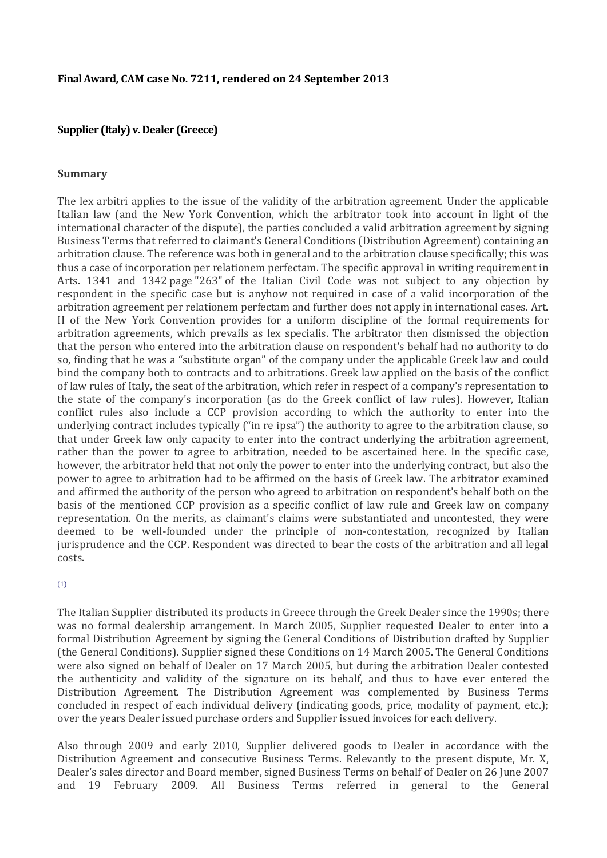#### **Supplier (Italy) v. Dealer (Greece)**

#### **Summary**

The lex arbitri applies to the issue of the validity of the arbitration agreement. Under the applicable Italian law (and the New York Convention, which the arbitrator took into account in light of the international character of the dispute), the parties concluded a valid arbitration agreement by signing Business Terms that referred to claimant's General Conditions (Distribution Agreement) containing an arbitration clause. The reference was both in general and to the arbitration clause specifically; this was thus a case of incorporation per relationem perfectam. The specific approval in writing requirement in Arts. 1341 and 1342 page  $\frac{1263}{10}$  of the Italian Civil Code was not subject to any objection by respondent in the specific case but is anyhow not required in case of a valid incorporation of the arbitration agreement per relationem perfectam and further does not apply in international cases. Art. II of the New York Convention provides for a uniform discipline of the formal requirements for arbitration agreements, which prevails as lex specialis. The arbitrator then dismissed the objection that the person who entered into the arbitration clause on respondent's behalf had no authority to do so, finding that he was a "substitute organ" of the company under the applicable Greek law and could bind the company both to contracts and to arbitrations. Greek law applied on the basis of the conflict of law rules of Italy, the seat of the arbitration, which refer in respect of a company's representation to the state of the company's incorporation (as do the Greek conflict of law rules). However, Italian conflict rules also include a CCP provision according to which the authority to enter into the underlying contract includes typically ("in re ipsa") the authority to agree to the arbitration clause, so that under Greek law only capacity to enter into the contract underlying the arbitration agreement, rather than the power to agree to arbitration, needed to be ascertained here. In the specific case, however, the arbitrator held that not only the power to enter into the underlying contract, but also the power to agree to arbitration had to be affirmed on the basis of Greek law. The arbitrator examined and affirmed the authority of the person who agreed to arbitration on respondent's behalf both on the basis of the mentioned CCP provision as a specific conflict of law rule and Greek law on company representation. On the merits, as claimant's claims were substantiated and uncontested, they were deemed to be well-founded under the principle of non-contestation, recognized by Italian jurisprudence and the CCP. Respondent was directed to bear the costs of the arbitration and all legal costs.

#### $(1)$

The Italian Supplier distributed its products in Greece through the Greek Dealer since the 1990s; there was no formal dealership arrangement. In March 2005, Supplier requested Dealer to enter into a formal Distribution Agreement by signing the General Conditions of Distribution drafted by Supplier (the General Conditions). Supplier signed these Conditions on 14 March 2005. The General Conditions were also signed on behalf of Dealer on 17 March 2005, but during the arbitration Dealer contested the authenticity and validity of the signature on its behalf, and thus to have ever entered the Distribution Agreement. The Distribution Agreement was complemented by Business Terms concluded in respect of each individual delivery (indicating goods, price, modality of payment, etc.); over the years Dealer issued purchase orders and Supplier issued invoices for each delivery.

Also through 2009 and early 2010, Supplier delivered goods to Dealer in accordance with the Distribution Agreement and consecutive Business Terms. Relevantly to the present dispute, Mr. X, Dealer's sales director and Board member, signed Business Terms on behalf of Dealer on 26 June 2007 and 19 February 2009. All Business Terms referred in general to the General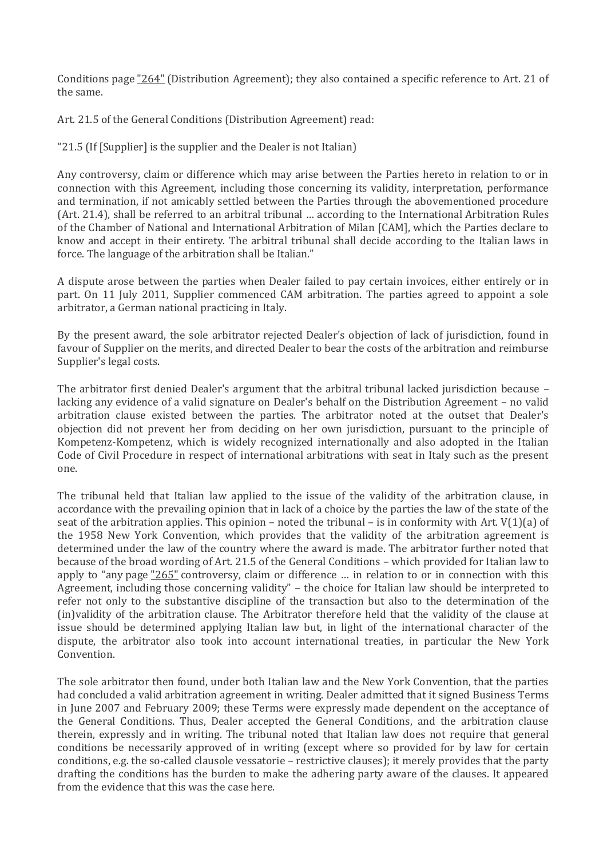Conditions page "264" (Distribution Agreement); they also contained a specific reference to Art. 21 of the same.

Art. 21.5 of the General Conditions (Distribution Agreement) read:

"21.5 (If [Supplier] is the supplier and the Dealer is not Italian)

Any controversy, claim or difference which may arise between the Parties hereto in relation to or in connection with this Agreement, including those concerning its validity, interpretation, performance and termination, if not amicably settled between the Parties through the abovementioned procedure (Art. 21.4), shall be referred to an arbitral tribunal … according to the International Arbitration Rules of the Chamber of National and International Arbitration of Milan [CAM], which the Parties declare to know and accept in their entirety. The arbitral tribunal shall decide according to the Italian laws in force. The language of the arbitration shall be Italian."

A dispute arose between the parties when Dealer failed to pay certain invoices, either entirely or in part. On 11 July 2011, Supplier commenced CAM arbitration. The parties agreed to appoint a sole arbitrator, a German national practicing in Italy.

By the present award, the sole arbitrator rejected Dealer's objection of lack of jurisdiction, found in favour of Supplier on the merits, and directed Dealer to bear the costs of the arbitration and reimburse Supplier's legal costs.

The arbitrator first denied Dealer's argument that the arbitral tribunal lacked jurisdiction because – lacking any evidence of a valid signature on Dealer's behalf on the Distribution Agreement – no valid arbitration clause existed between the parties. The arbitrator noted at the outset that Dealer's objection did not prevent her from deciding on her own jurisdiction, pursuant to the principle of Kompetenz-Kompetenz, which is widely recognized internationally and also adopted in the Italian Code of Civil Procedure in respect of international arbitrations with seat in Italy such as the present one.

The tribunal held that Italian law applied to the issue of the validity of the arbitration clause, in accordance with the prevailing opinion that in lack of a choice by the parties the law of the state of the seat of the arbitration applies. This opinion – noted the tribunal – is in conformity with Art. V(1)(a) of the 1958 New York Convention, which provides that the validity of the arbitration agreement is determined under the law of the country where the award is made. The arbitrator further noted that because of the broad wording of Art. 21.5 of the General Conditions – which provided for Italian law to apply to "any page "265" controversy, claim or difference … in relation to or in connection with this Agreement, including those concerning validity" – the choice for Italian law should be interpreted to refer not only to the substantive discipline of the transaction but also to the determination of the (in)validity of the arbitration clause. The Arbitrator therefore held that the validity of the clause at issue should be determined applying Italian law but, in light of the international character of the dispute, the arbitrator also took into account international treaties, in particular the New York Convention.

The sole arbitrator then found, under both Italian law and the New York Convention, that the parties had concluded a valid arbitration agreement in writing. Dealer admitted that it signed Business Terms in June 2007 and February 2009; these Terms were expressly made dependent on the acceptance of the General Conditions. Thus, Dealer accepted the General Conditions, and the arbitration clause therein, expressly and in writing. The tribunal noted that Italian law does not require that general conditions be necessarily approved of in writing (except where so provided for by law for certain conditions, e.g. the so-called clausole vessatorie – restrictive clauses); it merely provides that the party drafting the conditions has the burden to make the adhering party aware of the clauses. It appeared from the evidence that this was the case here.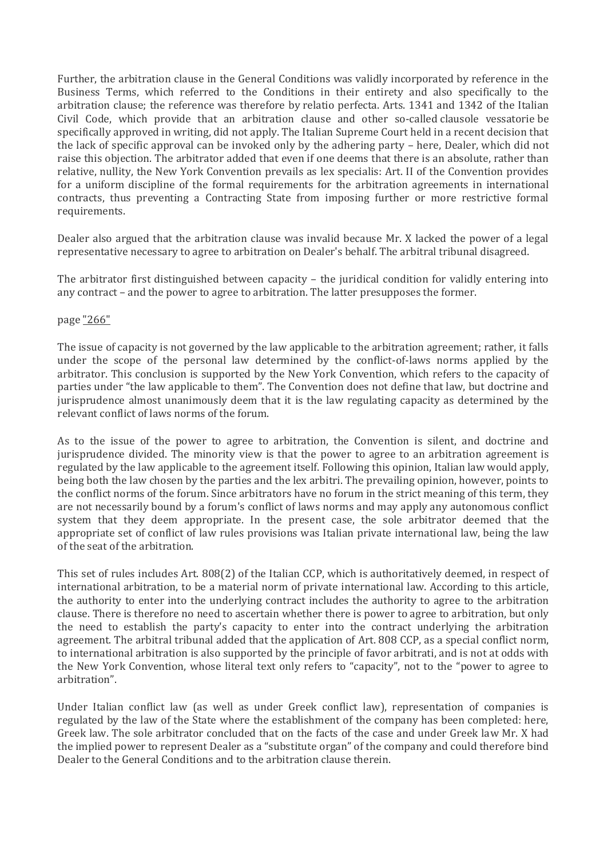Further, the arbitration clause in the General Conditions was validly incorporated by reference in the Business Terms, which referred to the Conditions in their entirety and also specifically to the arbitration clause; the reference was therefore by relatio perfecta. Arts. 1341 and 1342 of the Italian Civil Code, which provide that an arbitration clause and other so-called clausole vessatorie be specifically approved in writing, did not apply. The Italian Supreme Court held in a recent decision that the lack of specific approval can be invoked only by the adhering party – here, Dealer, which did not raise this objection. The arbitrator added that even if one deems that there is an absolute, rather than relative, nullity, the New York Convention prevails as lex specialis: Art. II of the Convention provides for a uniform discipline of the formal requirements for the arbitration agreements in international contracts, thus preventing a Contracting State from imposing further or more restrictive formal requirements.

Dealer also argued that the arbitration clause was invalid because Mr. X lacked the power of a legal representative necessary to agree to arbitration on Dealer's behalf. The arbitral tribunal disagreed.

The arbitrator first distinguished between capacity – the juridical condition for validly entering into any contract – and the power to agree to arbitration. The latter presupposes the former.

#### page "266"

The issue of capacity is not governed by the law applicable to the arbitration agreement; rather, it falls under the scope of the personal law determined by the conflict-of-laws norms applied by the arbitrator. This conclusion is supported by the New York Convention, which refers to the capacity of parties under "the law applicable to them". The Convention does not define that law, but doctrine and jurisprudence almost unanimously deem that it is the law regulating capacity as determined by the relevant conflict of laws norms of the forum.

As to the issue of the power to agree to arbitration, the Convention is silent, and doctrine and jurisprudence divided. The minority view is that the power to agree to an arbitration agreement is regulated by the law applicable to the agreement itself. Following this opinion, Italian law would apply, being both the law chosen by the parties and the lex arbitri. The prevailing opinion, however, points to the conflict norms of the forum. Since arbitrators have no forum in the strict meaning of this term, they are not necessarily bound by a forum's conflict of laws norms and may apply any autonomous conflict system that they deem appropriate. In the present case, the sole arbitrator deemed that the appropriate set of conflict of law rules provisions was Italian private international law, being the law of the seat of the arbitration.

This set of rules includes Art. 808(2) of the Italian CCP, which is authoritatively deemed, in respect of international arbitration, to be a material norm of private international law. According to this article, the authority to enter into the underlying contract includes the authority to agree to the arbitration clause. There is therefore no need to ascertain whether there is power to agree to arbitration, but only the need to establish the party's capacity to enter into the contract underlying the arbitration agreement. The arbitral tribunal added that the application of Art. 808 CCP, as a special conflict norm, to international arbitration is also supported by the principle of favor arbitrati, and is not at odds with the New York Convention, whose literal text only refers to "capacity", not to the "power to agree to arbitration".

Under Italian conflict law (as well as under Greek conflict law), representation of companies is regulated by the law of the State where the establishment of the company has been completed: here, Greek law. The sole arbitrator concluded that on the facts of the case and under Greek law Mr. X had the implied power to represent Dealer as a "substitute organ" of the company and could therefore bind Dealer to the General Conditions and to the arbitration clause therein.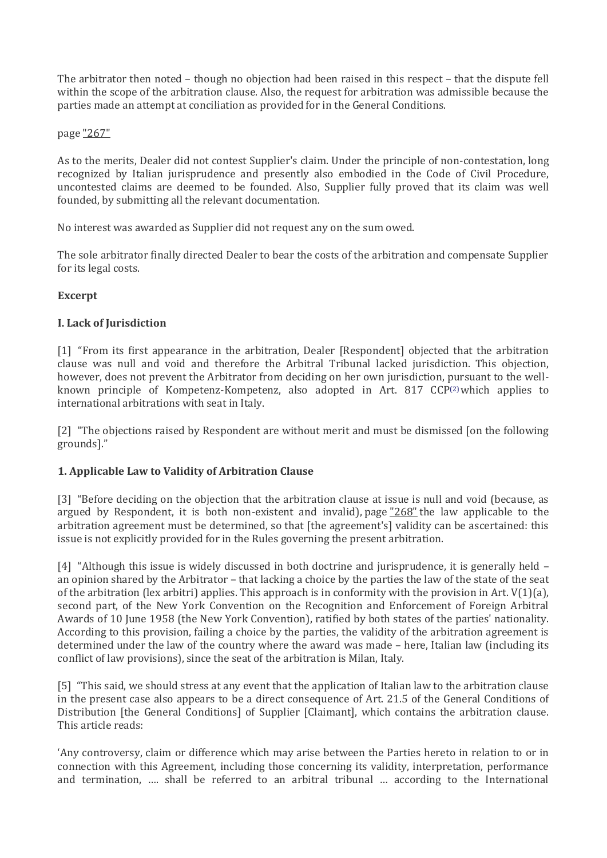The arbitrator then noted – though no objection had been raised in this respect – that the dispute fell within the scope of the arbitration clause. Also, the request for arbitration was admissible because the parties made an attempt at conciliation as provided for in the General Conditions.

### page "267"

As to the merits, Dealer did not contest Supplier's claim. Under the principle of non-contestation, long recognized by Italian jurisprudence and presently also embodied in the Code of Civil Procedure, uncontested claims are deemed to be founded. Also, Supplier fully proved that its claim was well founded, by submitting all the relevant documentation.

No interest was awarded as Supplier did not request any on the sum owed.

The sole arbitrator finally directed Dealer to bear the costs of the arbitration and compensate Supplier for its legal costs.

# **Excerpt**

# **I. Lack of Jurisdiction**

[1] "From its first appearance in the arbitration, Dealer [Respondent] objected that the arbitration clause was null and void and therefore the Arbitral Tribunal lacked jurisdiction. This objection, however, does not prevent the Arbitrator from deciding on her own jurisdiction, pursuant to the wellknown principle of Kompetenz-Kompetenz, also adopted in Art. 817 CCP[\(2\)](http://www.kluwerarbitration.com/CommonUI/document.aspx?id=KLI-KA-1441015-n#note2)which applies to international arbitrations with seat in Italy.

[2] "The objections raised by Respondent are without merit and must be dismissed [on the following grounds]."

# **1. Applicable Law to Validity of Arbitration Clause**

[3] "Before deciding on the objection that the arbitration clause at issue is null and void (because, as argued by Respondent, it is both non-existent and invalid), page  $268$  the law applicable to the arbitration agreement must be determined, so that [the agreement's] validity can be ascertained: this issue is not explicitly provided for in the Rules governing the present arbitration.

[4] "Although this issue is widely discussed in both doctrine and jurisprudence, it is generally held – an opinion shared by the Arbitrator – that lacking a choice by the parties the law of the state of the seat of the arbitration (lex arbitri) applies. This approach is in conformity with the provision in Art.  $V(1)(a)$ , second part, of the New York Convention on the Recognition and Enforcement of Foreign Arbitral Awards of 10 June 1958 (the New York Convention), ratified by both states of the parties' nationality. According to this provision, failing a choice by the parties, the validity of the arbitration agreement is determined under the law of the country where the award was made – here, Italian law (including its conflict of law provisions), since the seat of the arbitration is Milan, Italy.

[5] "This said, we should stress at any event that the application of Italian law to the arbitration clause in the present case also appears to be a direct consequence of Art. 21.5 of the General Conditions of Distribution [the General Conditions] of Supplier [Claimant], which contains the arbitration clause. This article reads:

'Any controversy, claim or difference which may arise between the Parties hereto in relation to or in connection with this Agreement, including those concerning its validity, interpretation, performance and termination, …. shall be referred to an arbitral tribunal … according to the International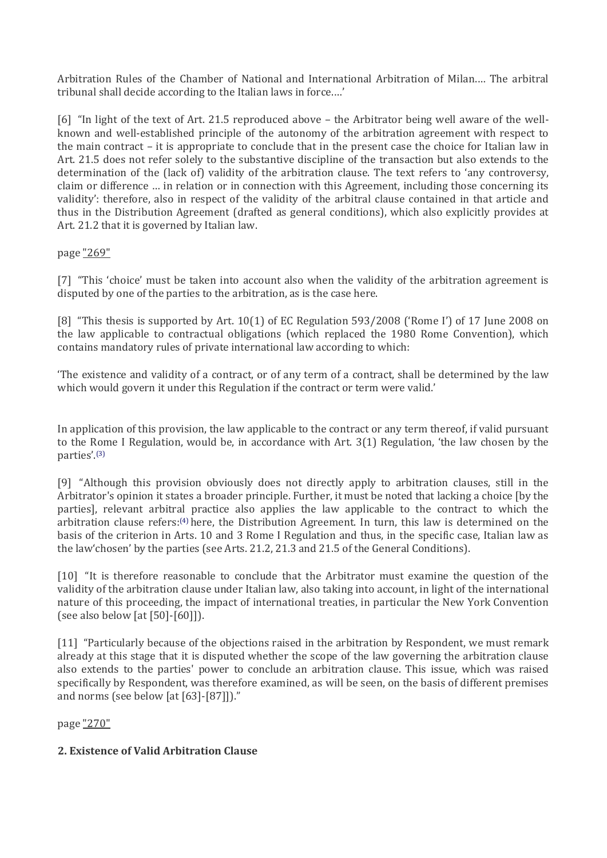Arbitration Rules of the Chamber of National and International Arbitration of Milan.… The arbitral tribunal shall decide according to the Italian laws in force.…'

[6] "In light of the text of Art. 21.5 reproduced above – the Arbitrator being well aware of the wellknown and well-established principle of the autonomy of the arbitration agreement with respect to the main contract – it is appropriate to conclude that in the present case the choice for Italian law in Art. 21.5 does not refer solely to the substantive discipline of the transaction but also extends to the determination of the (lack of) validity of the arbitration clause. The text refers to 'any controversy, claim or difference … in relation or in connection with this Agreement, including those concerning its validity': therefore, also in respect of the validity of the arbitral clause contained in that article and thus in the Distribution Agreement (drafted as general conditions), which also explicitly provides at Art. 21.2 that it is governed by Italian law.

# page "269"

[7] "This 'choice' must be taken into account also when the validity of the arbitration agreement is disputed by one of the parties to the arbitration, as is the case here.

[8] "This thesis is supported by Art. 10(1) of EC Regulation 593/2008 ('Rome I') of 17 June 2008 on the law applicable to contractual obligations (which replaced the 1980 Rome Convention), which contains mandatory rules of private international law according to which:

'The existence and validity of a contract, or of any term of a contract, shall be determined by the law which would govern it under this Regulation if the contract or term were valid.'

In application of this provision, the law applicable to the contract or any term thereof, if valid pursuant to the Rome I Regulation, would be, in accordance with Art. 3(1) Regulation, 'the law chosen by the parties'.[\(3\)](http://www.kluwerarbitration.com/CommonUI/document.aspx?id=KLI-KA-1441015-n#note3)

[9] "Although this provision obviously does not directly apply to arbitration clauses, still in the Arbitrator's opinion it states a broader principle. Further, it must be noted that lacking a choice [by the parties], relevant arbitral practice also applies the law applicable to the contract to which the arbitration clause refers:[\(4\)](http://www.kluwerarbitration.com/CommonUI/document.aspx?id=KLI-KA-1441015-n#note4) here, the Distribution Agreement. In turn, this law is determined on the basis of the criterion in Arts. 10 and 3 Rome I Regulation and thus, in the specific case, Italian law as the law'chosen' by the parties (see Arts. 21.2, 21.3 and 21.5 of the General Conditions).

[10] "It is therefore reasonable to conclude that the Arbitrator must examine the question of the validity of the arbitration clause under Italian law, also taking into account, in light of the international nature of this proceeding, the impact of international treaties, in particular the New York Convention (see also below [at [50]-[60]]).

[11] "Particularly because of the objections raised in the arbitration by Respondent, we must remark already at this stage that it is disputed whether the scope of the law governing the arbitration clause also extends to the parties' power to conclude an arbitration clause. This issue, which was raised specifically by Respondent, was therefore examined, as will be seen, on the basis of different premises and norms (see below [at [63]-[87]])."

page "270"

# **2. Existence of Valid Arbitration Clause**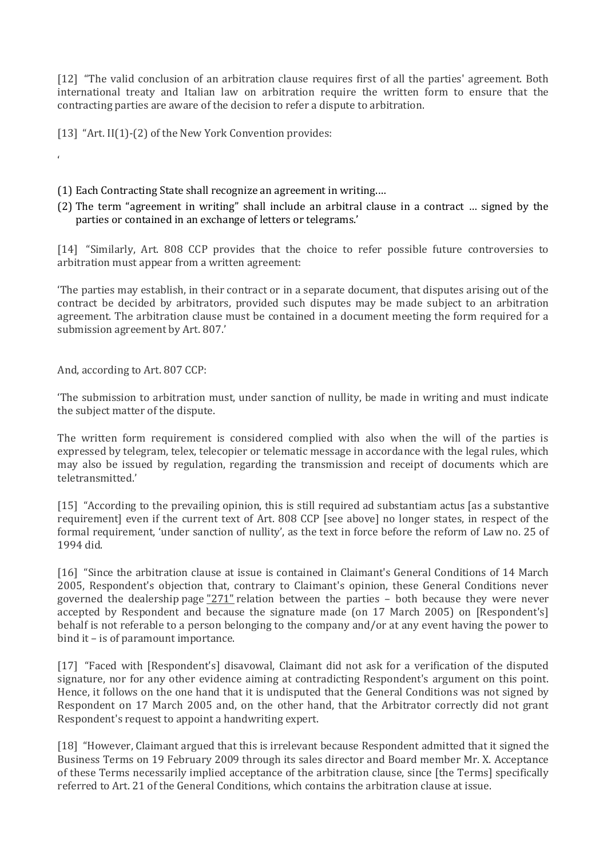[12] "The valid conclusion of an arbitration clause requires first of all the parties' agreement. Both international treaty and Italian law on arbitration require the written form to ensure that the contracting parties are aware of the decision to refer a dispute to arbitration.

[13] "Art. II(1)-(2) of the New York Convention provides:

(1) Each Contracting State shall recognize an agreement in writing.…

(2) The term "agreement in writing" shall include an arbitral clause in a contract … signed by the parties or contained in an exchange of letters or telegrams.'

[14] "Similarly, Art. 808 CCP provides that the choice to refer possible future controversies to arbitration must appear from a written agreement:

'The parties may establish, in their contract or in a separate document, that disputes arising out of the contract be decided by arbitrators, provided such disputes may be made subject to an arbitration agreement. The arbitration clause must be contained in a document meeting the form required for a submission agreement by Art. 807.'

And, according to Art. 807 CCP:

'

'The submission to arbitration must, under sanction of nullity, be made in writing and must indicate the subject matter of the dispute.

The written form requirement is considered complied with also when the will of the parties is expressed by telegram, telex, telecopier or telematic message in accordance with the legal rules, which may also be issued by regulation, regarding the transmission and receipt of documents which are teletransmitted.'

[15] "According to the prevailing opinion, this is still required ad substantiam actus [as a substantive requirement] even if the current text of Art. 808 CCP [see above] no longer states, in respect of the formal requirement, 'under sanction of nullity', as the text in force before the reform of Law no. 25 of 1994 did.

[16] "Since the arbitration clause at issue is contained in Claimant's General Conditions of 14 March 2005, Respondent's objection that, contrary to Claimant's opinion, these General Conditions never governed the dealership page "271" relation between the parties – both because they were never accepted by Respondent and because the signature made (on 17 March 2005) on [Respondent's] behalf is not referable to a person belonging to the company and/or at any event having the power to bind it – is of paramount importance.

[17] "Faced with [Respondent's] disavowal, Claimant did not ask for a verification of the disputed signature, nor for any other evidence aiming at contradicting Respondent's argument on this point. Hence, it follows on the one hand that it is undisputed that the General Conditions was not signed by Respondent on 17 March 2005 and, on the other hand, that the Arbitrator correctly did not grant Respondent's request to appoint a handwriting expert.

[18] "However, Claimant argued that this is irrelevant because Respondent admitted that it signed the Business Terms on 19 February 2009 through its sales director and Board member Mr. X. Acceptance of these Terms necessarily implied acceptance of the arbitration clause, since [the Terms] specifically referred to Art. 21 of the General Conditions, which contains the arbitration clause at issue.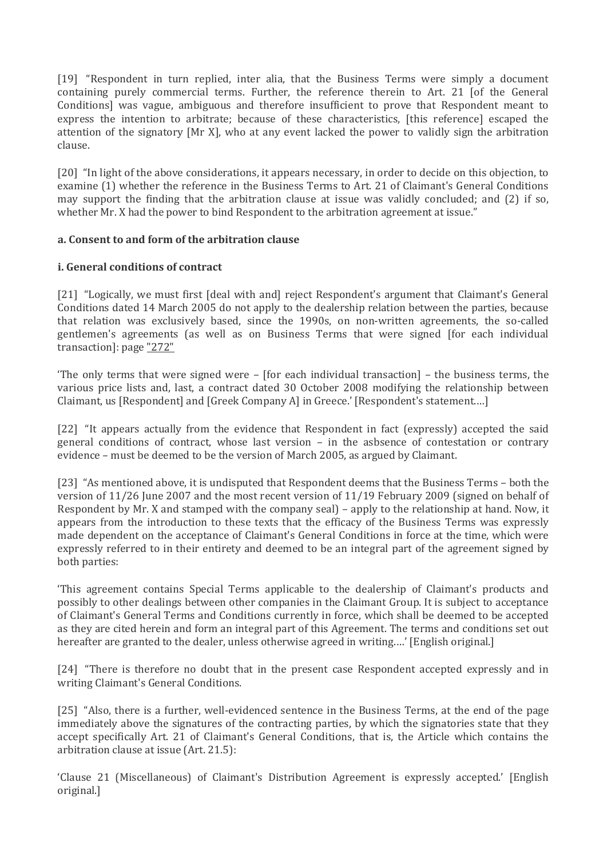[19] "Respondent in turn replied, inter alia, that the Business Terms were simply a document containing purely commercial terms. Further, the reference therein to Art. 21 [of the General Conditions] was vague, ambiguous and therefore insufficient to prove that Respondent meant to express the intention to arbitrate; because of these characteristics, [this reference] escaped the attention of the signatory [Mr X], who at any event lacked the power to validly sign the arbitration clause.

[20] "In light of the above considerations, it appears necessary, in order to decide on this objection, to examine (1) whether the reference in the Business Terms to Art. 21 of Claimant's General Conditions may support the finding that the arbitration clause at issue was validly concluded; and (2) if so, whether Mr. X had the power to bind Respondent to the arbitration agreement at issue."

# **a. Consent to and form of the arbitration clause**

#### **i. General conditions of contract**

[21] "Logically, we must first [deal with and] reject Respondent's argument that Claimant's General Conditions dated 14 March 2005 do not apply to the dealership relation between the parties, because that relation was exclusively based, since the 1990s, on non-written agreements, the so-called gentlemen's agreements (as well as on Business Terms that were signed [for each individual transaction]: page "272"

'The only terms that were signed were – [for each individual transaction] – the business terms, the various price lists and, last, a contract dated 30 October 2008 modifying the relationship between Claimant, us [Respondent] and [Greek Company A] in Greece.' [Respondent's statement.…]

[22] "It appears actually from the evidence that Respondent in fact (expressly) accepted the said general conditions of contract, whose last version – in the asbsence of contestation or contrary evidence – must be deemed to be the version of March 2005, as argued by Claimant.

[23] "As mentioned above, it is undisputed that Respondent deems that the Business Terms – both the version of 11/26 June 2007 and the most recent version of 11/19 February 2009 (signed on behalf of Respondent by Mr. X and stamped with the company seal) – apply to the relationship at hand. Now, it appears from the introduction to these texts that the efficacy of the Business Terms was expressly made dependent on the acceptance of Claimant's General Conditions in force at the time, which were expressly referred to in their entirety and deemed to be an integral part of the agreement signed by both parties:

'This agreement contains Special Terms applicable to the dealership of Claimant's products and possibly to other dealings between other companies in the Claimant Group. It is subject to acceptance of Claimant's General Terms and Conditions currently in force, which shall be deemed to be accepted as they are cited herein and form an integral part of this Agreement. The terms and conditions set out hereafter are granted to the dealer, unless otherwise agreed in writing.…' [English original.]

[24] "There is therefore no doubt that in the present case Respondent accepted expressly and in writing Claimant's General Conditions.

[25] "Also, there is a further, well-evidenced sentence in the Business Terms, at the end of the page immediately above the signatures of the contracting parties, by which the signatories state that they accept specifically Art. 21 of Claimant's General Conditions, that is, the Article which contains the arbitration clause at issue (Art. 21.5):

'Clause 21 (Miscellaneous) of Claimant's Distribution Agreement is expressly accepted.' [English original.]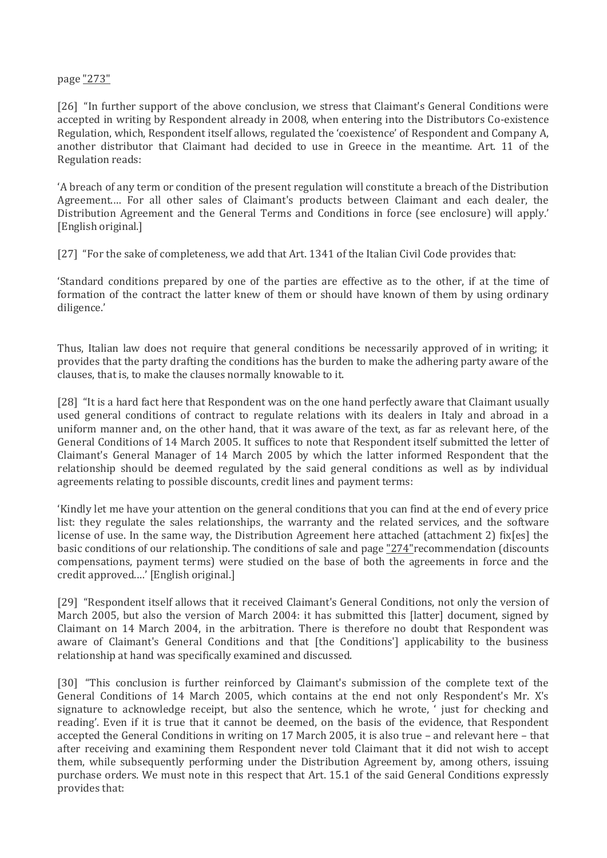### page "273"

[26] "In further support of the above conclusion, we stress that Claimant's General Conditions were accepted in writing by Respondent already in 2008, when entering into the Distributors Co-existence Regulation, which, Respondent itself allows, regulated the 'coexistence' of Respondent and Company A, another distributor that Claimant had decided to use in Greece in the meantime. Art. 11 of the Regulation reads:

'A breach of any term or condition of the present regulation will constitute a breach of the Distribution Agreement.… For all other sales of Claimant's products between Claimant and each dealer, the Distribution Agreement and the General Terms and Conditions in force (see enclosure) will apply.' [English original.]

[27] "For the sake of completeness, we add that Art. 1341 of the Italian Civil Code provides that:

'Standard conditions prepared by one of the parties are effective as to the other, if at the time of formation of the contract the latter knew of them or should have known of them by using ordinary diligence.'

Thus, Italian law does not require that general conditions be necessarily approved of in writing; it provides that the party drafting the conditions has the burden to make the adhering party aware of the clauses, that is, to make the clauses normally knowable to it.

[28] "It is a hard fact here that Respondent was on the one hand perfectly aware that Claimant usually used general conditions of contract to regulate relations with its dealers in Italy and abroad in a uniform manner and, on the other hand, that it was aware of the text, as far as relevant here, of the General Conditions of 14 March 2005. It suffices to note that Respondent itself submitted the letter of Claimant's General Manager of 14 March 2005 by which the latter informed Respondent that the relationship should be deemed regulated by the said general conditions as well as by individual agreements relating to possible discounts, credit lines and payment terms:

'Kindly let me have your attention on the general conditions that you can find at the end of every price list: they regulate the sales relationships, the warranty and the related services, and the software license of use. In the same way, the Distribution Agreement here attached (attachment 2) fix[es] the basic conditions of our relationship. The conditions of sale and page "274" recommendation (discounts compensations, payment terms) were studied on the base of both the agreements in force and the credit approved.…' [English original.]

[29] "Respondent itself allows that it received Claimant's General Conditions, not only the version of March 2005, but also the version of March 2004: it has submitted this [latter] document, signed by Claimant on 14 March 2004, in the arbitration. There is therefore no doubt that Respondent was aware of Claimant's General Conditions and that [the Conditions'] applicability to the business relationship at hand was specifically examined and discussed.

[30] "This conclusion is further reinforced by Claimant's submission of the complete text of the General Conditions of 14 March 2005, which contains at the end not only Respondent's Mr. X's signature to acknowledge receipt, but also the sentence, which he wrote, ' just for checking and reading'. Even if it is true that it cannot be deemed, on the basis of the evidence, that Respondent accepted the General Conditions in writing on 17 March 2005, it is also true – and relevant here – that after receiving and examining them Respondent never told Claimant that it did not wish to accept them, while subsequently performing under the Distribution Agreement by, among others, issuing purchase orders. We must note in this respect that Art. 15.1 of the said General Conditions expressly provides that: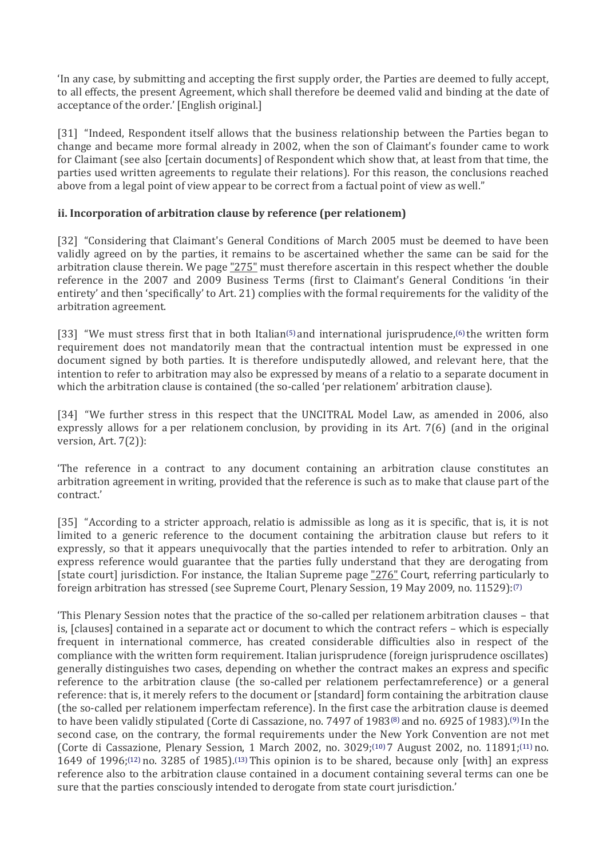'In any case, by submitting and accepting the first supply order, the Parties are deemed to fully accept, to all effects, the present Agreement, which shall therefore be deemed valid and binding at the date of acceptance of the order.' [English original.]

[31] "Indeed, Respondent itself allows that the business relationship between the Parties began to change and became more formal already in 2002, when the son of Claimant's founder came to work for Claimant (see also [certain documents] of Respondent which show that, at least from that time, the parties used written agreements to regulate their relations). For this reason, the conclusions reached above from a legal point of view appear to be correct from a factual point of view as well."

# **ii. Incorporation of arbitration clause by reference (per relationem)**

[32] "Considering that Claimant's General Conditions of March 2005 must be deemed to have been validly agreed on by the parties, it remains to be ascertained whether the same can be said for the arbitration clause therein. We page "275" must therefore ascertain in this respect whether the double reference in the 2007 and 2009 Business Terms (first to Claimant's General Conditions 'in their entirety' and then 'specifically' to Art. 21) complies with the formal requirements for the validity of the arbitration agreement.

[33] "We must stress first that in both Italian[\(5\)](http://www.kluwerarbitration.com/CommonUI/document.aspx?id=KLI-KA-1441015-n#note5) and international jurisprudence,[\(6\)](http://www.kluwerarbitration.com/CommonUI/document.aspx?id=KLI-KA-1441015-n#note6) the written form requirement does not mandatorily mean that the contractual intention must be expressed in one document signed by both parties. It is therefore undisputedly allowed, and relevant here, that the intention to refer to arbitration may also be expressed by means of a relatio to a separate document in which the arbitration clause is contained (the so-called 'per relationem' arbitration clause).

[34] "We further stress in this respect that the UNCITRAL Model Law, as amended in 2006, also expressly allows for a per relationem conclusion, by providing in its Art. 7(6) (and in the original version, Art. 7(2)):

'The reference in a contract to any document containing an arbitration clause constitutes an arbitration agreement in writing, provided that the reference is such as to make that clause part of the contract.'

[35] "According to a stricter approach, relatio is admissible as long as it is specific, that is, it is not limited to a generic reference to the document containing the arbitration clause but refers to it expressly, so that it appears unequivocally that the parties intended to refer to arbitration. Only an express reference would guarantee that the parties fully understand that they are derogating from [state court] jurisdiction. For instance, the Italian Supreme page "276" Court, referring particularly to foreign arbitration has stressed (see Supreme Court, Plenary Session, 19 May 2009, no. 11529):[\(7\)](http://www.kluwerarbitration.com/CommonUI/document.aspx?id=KLI-KA-1441015-n#note7)

'This Plenary Session notes that the practice of the so-called per relationem arbitration clauses – that is, [clauses] contained in a separate act or document to which the contract refers – which is especially frequent in international commerce, has created considerable difficulties also in respect of the compliance with the written form requirement. Italian jurisprudence (foreign jurisprudence oscillates) generally distinguishes two cases, depending on whether the contract makes an express and specific reference to the arbitration clause (the so-called per relationem perfectamreference) or a general reference: that is, it merely refers to the document or [standard] form containing the arbitration clause (the so-called per relationem imperfectam reference). In the first case the arbitration clause is deemed to have been validly stipulated (Corte di Cassazione, no. 7497 of 1983<sup>[\(8\)](http://www.kluwerarbitration.com/CommonUI/document.aspx?id=KLI-KA-1441015-n#note8)</sup> and no. 6925 of 1983).<sup>[\(9\)](http://www.kluwerarbitration.com/CommonUI/document.aspx?id=KLI-KA-1441015-n#note9)</sup> In the second case, on the contrary, the formal requirements under the New York Convention are not met (Corte di Cassazione, Plenary Session, 1 March 2002, no. 3029;[\(10\)](http://www.kluwerarbitration.com/CommonUI/document.aspx?id=KLI-KA-1441015-n#note10) 7 August 2002, no. 11891;[\(11\)](http://www.kluwerarbitration.com/CommonUI/document.aspx?id=KLI-KA-1441015-n#note11) no. 1649 of 1996;[\(12\)](http://www.kluwerarbitration.com/CommonUI/document.aspx?id=KLI-KA-1441015-n#note12) no. 3285 of 1985).[\(13\)](http://www.kluwerarbitration.com/CommonUI/document.aspx?id=KLI-KA-1441015-n#note13)This opinion is to be shared, because only [with] an express reference also to the arbitration clause contained in a document containing several terms can one be sure that the parties consciously intended to derogate from state court jurisdiction.'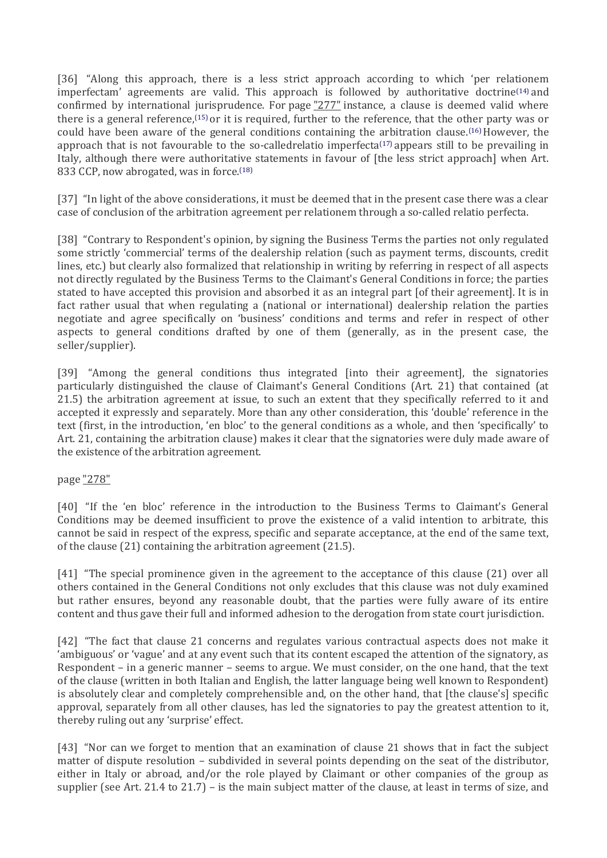[36] "Along this approach, there is a less strict approach according to which 'per relationem imperfectam' agreements are valid. This approach is followed by authoritative doctrine<sup>[\(14\)](http://www.kluwerarbitration.com/CommonUI/document.aspx?id=KLI-KA-1441015-n#note14)</sup> and confirmed by international jurisprudence. For page "277" instance, a clause is deemed valid where there is a general reference,[\(15\)](http://www.kluwerarbitration.com/CommonUI/document.aspx?id=KLI-KA-1441015-n#note15) or it is required, further to the reference, that the other party was or could have been aware of the general conditions containing the arbitration clause.<sup> $(16)$ </sup> However, the approach that is not favourable to the so-calledrelatio imperfecta[\(17\)](http://www.kluwerarbitration.com/CommonUI/document.aspx?id=KLI-KA-1441015-n#note17) appears still to be prevailing in Italy, although there were authoritative statements in favour of [the less strict approach] when Art. 833 CCP, now abrogated, was in force.[\(18\)](http://www.kluwerarbitration.com/CommonUI/document.aspx?id=KLI-KA-1441015-n#note18)

[37] "In light of the above considerations, it must be deemed that in the present case there was a clear case of conclusion of the arbitration agreement per relationem through a so-called relatio perfecta.

[38] "Contrary to Respondent's opinion, by signing the Business Terms the parties not only regulated some strictly 'commercial' terms of the dealership relation (such as payment terms, discounts, credit lines, etc.) but clearly also formalized that relationship in writing by referring in respect of all aspects not directly regulated by the Business Terms to the Claimant's General Conditions in force; the parties stated to have accepted this provision and absorbed it as an integral part [of their agreement]. It is in fact rather usual that when regulating a (national or international) dealership relation the parties negotiate and agree specifically on 'business' conditions and terms and refer in respect of other aspects to general conditions drafted by one of them (generally, as in the present case, the seller/supplier).

[39] "Among the general conditions thus integrated [into their agreement], the signatories particularly distinguished the clause of Claimant's General Conditions (Art. 21) that contained (at 21.5) the arbitration agreement at issue, to such an extent that they specifically referred to it and accepted it expressly and separately. More than any other consideration, this 'double' reference in the text (first, in the introduction, 'en bloc' to the general conditions as a whole, and then 'specifically' to Art. 21, containing the arbitration clause) makes it clear that the signatories were duly made aware of the existence of the arbitration agreement.

page "278"

[40] "If the 'en bloc' reference in the introduction to the Business Terms to Claimant's General Conditions may be deemed insufficient to prove the existence of a valid intention to arbitrate, this cannot be said in respect of the express, specific and separate acceptance, at the end of the same text, of the clause (21) containing the arbitration agreement (21.5).

[41] "The special prominence given in the agreement to the acceptance of this clause (21) over all others contained in the General Conditions not only excludes that this clause was not duly examined but rather ensures, beyond any reasonable doubt, that the parties were fully aware of its entire content and thus gave their full and informed adhesion to the derogation from state court jurisdiction.

[42] "The fact that clause 21 concerns and regulates various contractual aspects does not make it 'ambiguous' or 'vague' and at any event such that its content escaped the attention of the signatory, as Respondent – in a generic manner – seems to argue. We must consider, on the one hand, that the text of the clause (written in both Italian and English, the latter language being well known to Respondent) is absolutely clear and completely comprehensible and, on the other hand, that [the clause's] specific approval, separately from all other clauses, has led the signatories to pay the greatest attention to it, thereby ruling out any 'surprise' effect.

[43] "Nor can we forget to mention that an examination of clause 21 shows that in fact the subject matter of dispute resolution – subdivided in several points depending on the seat of the distributor, either in Italy or abroad, and/or the role played by Claimant or other companies of the group as supplier (see Art. 21.4 to 21.7) – is the main subject matter of the clause, at least in terms of size, and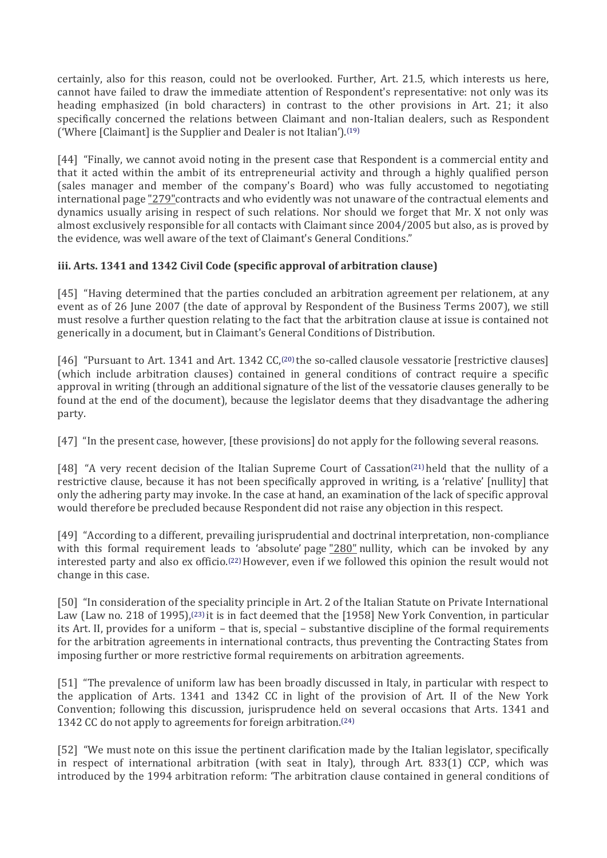certainly, also for this reason, could not be overlooked. Further, Art. 21.5, which interests us here, cannot have failed to draw the immediate attention of Respondent's representative: not only was its heading emphasized (in bold characters) in contrast to the other provisions in Art. 21; it also specifically concerned the relations between Claimant and non-Italian dealers, such as Respondent ('Where [Claimant] is the Supplier and Dealer is not Italian').[\(19\)](http://www.kluwerarbitration.com/CommonUI/document.aspx?id=KLI-KA-1441015-n#note19)

[44] "Finally, we cannot avoid noting in the present case that Respondent is a commercial entity and that it acted within the ambit of its entrepreneurial activity and through a highly qualified person (sales manager and member of the company's Board) who was fully accustomed to negotiating international page "279"contracts and who evidently was not unaware of the contractual elements and dynamics usually arising in respect of such relations. Nor should we forget that Mr. X not only was almost exclusively responsible for all contacts with Claimant since 2004/2005 but also, as is proved by the evidence, was well aware of the text of Claimant's General Conditions."

# **iii. Arts. 1341 and 1342 Civil Code (specific approval of arbitration clause)**

[45] "Having determined that the parties concluded an arbitration agreement per relationem, at any event as of 26 June 2007 (the date of approval by Respondent of the Business Terms 2007), we still must resolve a further question relating to the fact that the arbitration clause at issue is contained not generically in a document, but in Claimant's General Conditions of Distribution.

[46] "Pursuant to Art. 1341 and Art. 1342 CC,<sup>[\(20\)](http://www.kluwerarbitration.com/CommonUI/document.aspx?id=KLI-KA-1441015-n#note20)</sup> the so-called clausole vessatorie [restrictive clauses] (which include arbitration clauses) contained in general conditions of contract require a specific approval in writing (through an additional signature of the list of the vessatorie clauses generally to be found at the end of the document), because the legislator deems that they disadvantage the adhering party.

[47] "In the present case, however, [these provisions] do not apply for the following several reasons.

[48] "A very recent decision of the Italian Supreme Court of Cassation[\(21\)](http://www.kluwerarbitration.com/CommonUI/document.aspx?id=KLI-KA-1441015-n#note21) held that the nullity of a restrictive clause, because it has not been specifically approved in writing, is a 'relative' [nullity] that only the adhering party may invoke. In the case at hand, an examination of the lack of specific approval would therefore be precluded because Respondent did not raise any objection in this respect.

[49] "According to a different, prevailing jurisprudential and doctrinal interpretation, non-compliance with this formal requirement leads to 'absolute' page "280" nullity, which can be invoked by any interested party and also ex officio.<sup>[\(22\)](http://www.kluwerarbitration.com/CommonUI/document.aspx?id=KLI-KA-1441015-n#note22)</sup> However, even if we followed this opinion the result would not change in this case.

[50] "In consideration of the speciality principle in Art. 2 of the Italian Statute on Private International Law (Law no. 218 of 1995),[\(23\)](http://www.kluwerarbitration.com/CommonUI/document.aspx?id=KLI-KA-1441015-n#note23) it is in fact deemed that the [1958] New York Convention, in particular its Art. II, provides for a uniform – that is, special – substantive discipline of the formal requirements for the arbitration agreements in international contracts, thus preventing the Contracting States from imposing further or more restrictive formal requirements on arbitration agreements.

[51] "The prevalence of uniform law has been broadly discussed in Italy, in particular with respect to the application of Arts. 1341 and 1342 CC in light of the provision of Art. II of the New York Convention; following this discussion, jurisprudence held on several occasions that Arts. 1341 and 1342 CC do not apply to agreements for foreign arbitration.[\(24\)](http://www.kluwerarbitration.com/CommonUI/document.aspx?id=KLI-KA-1441015-n#note24)

[52] "We must note on this issue the pertinent clarification made by the Italian legislator, specifically in respect of international arbitration (with seat in Italy), through Art. 833(1) CCP, which was introduced by the 1994 arbitration reform: 'The arbitration clause contained in general conditions of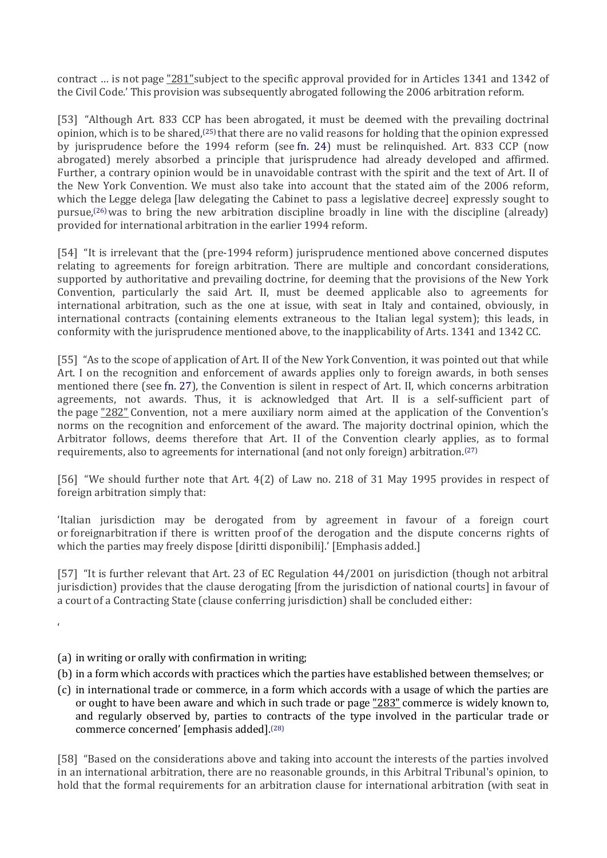contract ... is not page "281" subject to the specific approval provided for in Articles 1341 and 1342 of the Civil Code.' This provision was subsequently abrogated following the 2006 arbitration reform.

[53] "Although Art. 833 CCP has been abrogated, it must be deemed with the prevailing doctrinal opinion, which is to be shared,[\(25\)](http://www.kluwerarbitration.com/CommonUI/document.aspx?id=KLI-KA-1441015-n#note25) that there are no valid reasons for holding that the opinion expressed by jurisprudence before the 1994 reform (see [fn. 24\)](http://www.kluwerarbitration.com/CommonUI/document.aspx?id=KLI-KA-1441015-n#a0084) must be relinquished. Art. 833 CCP (now abrogated) merely absorbed a principle that jurisprudence had already developed and affirmed. Further, a contrary opinion would be in unavoidable contrast with the spirit and the text of Art. II of the New York Convention. We must also take into account that the stated aim of the 2006 reform, which the Legge delega [law delegating the Cabinet to pass a legislative decree] expressly sought to pursue,[\(26\)](http://www.kluwerarbitration.com/CommonUI/document.aspx?id=KLI-KA-1441015-n#note26)was to bring the new arbitration discipline broadly in line with the discipline (already) provided for international arbitration in the earlier 1994 reform.

[54] "It is irrelevant that the (pre-1994 reform) jurisprudence mentioned above concerned disputes relating to agreements for foreign arbitration. There are multiple and concordant considerations, supported by authoritative and prevailing doctrine, for deeming that the provisions of the New York Convention, particularly the said Art. II, must be deemed applicable also to agreements for international arbitration, such as the one at issue, with seat in Italy and contained, obviously, in international contracts (containing elements extraneous to the Italian legal system); this leads, in conformity with the jurisprudence mentioned above, to the inapplicability of Arts. 1341 and 1342 CC.

[55] "As to the scope of application of Art. II of the New York Convention, it was pointed out that while Art. I on the recognition and enforcement of awards applies only to foreign awards, in both senses mentioned there (see [fn. 27\)](http://www.kluwerarbitration.com/CommonUI/document.aspx?id=KLI-KA-1441015-n#a0091), the Convention is silent in respect of Art. II, which concerns arbitration agreements, not awards. Thus, it is acknowledged that Art. II is a self-sufficient part of the page "282" Convention, not a mere auxiliary norm aimed at the application of the Convention's norms on the recognition and enforcement of the award. The majority doctrinal opinion, which the Arbitrator follows, deems therefore that Art. II of the Convention clearly applies, as to formal requirements, also to agreements for international (and not only foreign) arbitration.[\(27\)](http://www.kluwerarbitration.com/CommonUI/document.aspx?id=KLI-KA-1441015-n#note27)

[56] "We should further note that Art. 4(2) of Law no. 218 of 31 May 1995 provides in respect of foreign arbitration simply that:

'Italian jurisdiction may be derogated from by agreement in favour of a foreign court or foreignarbitration if there is written proof of the derogation and the dispute concerns rights of which the parties may freely dispose [diritti disponibili].' [Emphasis added.]

[57] "It is further relevant that Art. 23 of EC Regulation 44/2001 on jurisdiction (though not arbitral jurisdiction) provides that the clause derogating [from the jurisdiction of national courts] in favour of a court of a Contracting State (clause conferring jurisdiction) shall be concluded either:

(a) in writing or orally with confirmation in writing;

'

- (b) in a form which accords with practices which the parties have established between themselves; or
- (c) in international trade or commerce, in a form which accords with a usage of which the parties are or ought to have been aware and which in such trade or page "283" commerce is widely known to, and regularly observed by, parties to contracts of the type involved in the particular trade or commerce concerned' [emphasis added].[\(28\)](http://www.kluwerarbitration.com/CommonUI/document.aspx?id=KLI-KA-1441015-n#note28)

[58] "Based on the considerations above and taking into account the interests of the parties involved in an international arbitration, there are no reasonable grounds, in this Arbitral Tribunal's opinion, to hold that the formal requirements for an arbitration clause for international arbitration (with seat in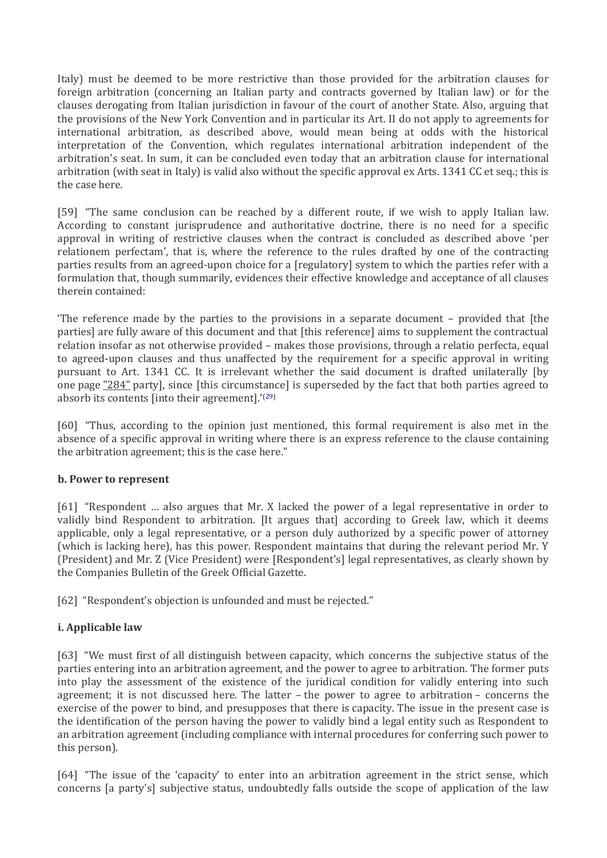Italy) must be deemed to be more restrictive than those provided for the arbitration clauses for foreign arbitration (concerning an Italian party and contracts governed by Italian law) or for the clauses derogating from Italian jurisdiction in favour of the court of another State. Also, arguing that the provisions of the New York Convention and in particular its Art. II do not apply to agreements for international arbitration, as described above, would mean being at odds with the historical interpretation of the Convention, which regulates international arbitration independent of the arbitration's seat. In sum, it can be concluded even today that an arbitration clause for international arbitration (with seat in Italy) is valid also without the specific approval ex Arts. 1341 CC et seq.; this is the case here.

[59] "The same conclusion can be reached by a different route, if we wish to apply Italian law. According to constant jurisprudence and authoritative doctrine, there is no need for a specific approval in writing of restrictive clauses when the contract is concluded as described above 'per relationem perfectam', that is, where the reference to the rules drafted by one of the contracting parties results from an agreed-upon choice for a [regulatory] system to which the parties refer with a formulation that, though summarily, evidences their effective knowledge and acceptance of all clauses therein contained:

'The reference made by the parties to the provisions in a separate document – provided that [the parties] are fully aware of this document and that [this reference] aims to supplement the contractual relation insofar as not otherwise provided – makes those provisions, through a relatio perfecta, equal to agreed-upon clauses and thus unaffected by the requirement for a specific approval in writing pursuant to Art. 1341 CC. It is irrelevant whether the said document is drafted unilaterally [by one page "284" party], since [this circumstance] is superseded by the fact that both parties agreed to absorb its contents [into their agreement].'[\(29\)](http://www.kluwerarbitration.com/CommonUI/document.aspx?id=KLI-KA-1441015-n#note29)

[60] "Thus, according to the opinion just mentioned, this formal requirement is also met in the absence of a specific approval in writing where there is an express reference to the clause containing the arbitration agreement; this is the case here."

# **b. Power to represent**

[61] "Respondent … also argues that Mr. X lacked the power of a legal representative in order to validly bind Respondent to arbitration. [It argues that] according to Greek law, which it deems applicable, only a legal representative, or a person duly authorized by a specific power of attorney (which is lacking here), has this power. Respondent maintains that during the relevant period Mr. Y (President) and Mr. Z (Vice President) were [Respondent's] legal representatives, as clearly shown by the Companies Bulletin of the Greek Official Gazette.

[62] "Respondent's objection is unfounded and must be rejected."

# **i. Applicable law**

[63] "We must first of all distinguish between capacity, which concerns the subjective status of the parties entering into an arbitration agreement, and the power to agree to arbitration. The former puts into play the assessment of the existence of the juridical condition for validly entering into such agreement; it is not discussed here. The latter – the power to agree to arbitration – concerns the exercise of the power to bind, and presupposes that there is capacity. The issue in the present case is the identification of the person having the power to validly bind a legal entity such as Respondent to an arbitration agreement (including compliance with internal procedures for conferring such power to this person).

[64] "The issue of the 'capacity' to enter into an arbitration agreement in the strict sense, which concerns [a party's] subjective status, undoubtedly falls outside the scope of application of the law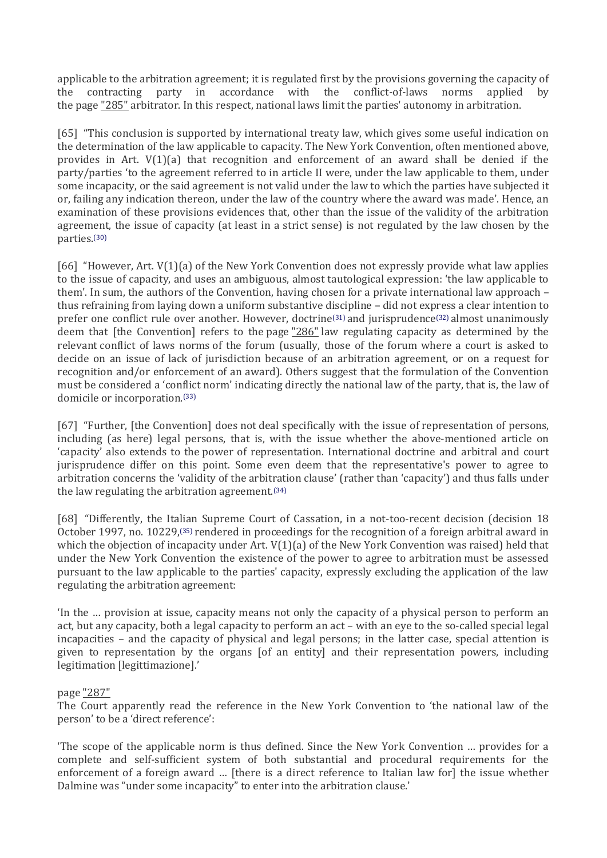applicable to the arbitration agreement; it is regulated first by the provisions governing the capacity of the contracting party in accordance with the conflict-of-laws norms applied by the page "285" arbitrator. In this respect, national laws limit the parties' autonomy in arbitration.

[65] "This conclusion is supported by international treaty law, which gives some useful indication on the determination of the law applicable to capacity. The New York Convention, often mentioned above, provides in Art.  $V(1)(a)$  that recognition and enforcement of an award shall be denied if the party/parties 'to the agreement referred to in article II were, under the law applicable to them, under some incapacity, or the said agreement is not valid under the law to which the parties have subjected it or, failing any indication thereon, under the law of the country where the award was made'. Hence, an examination of these provisions evidences that, other than the issue of the validity of the arbitration agreement, the issue of capacity (at least in a strict sense) is not regulated by the law chosen by the parties. [\(30\)](http://www.kluwerarbitration.com/CommonUI/document.aspx?id=KLI-KA-1441015-n#note30)

[66] "However, Art. V(1)(a) of the New York Convention does not expressly provide what law applies to the issue of capacity, and uses an ambiguous, almost tautological expression: 'the law applicable to them'. In sum, the authors of the Convention, having chosen for a private international law approach – thus refraining from laying down a uniform substantive discipline – did not express a clear intention to prefer one conflict rule over another. However, doctrine[\(31\)](http://www.kluwerarbitration.com/CommonUI/document.aspx?id=KLI-KA-1441015-n#note31) and jurisprudence[\(32\)](http://www.kluwerarbitration.com/CommonUI/document.aspx?id=KLI-KA-1441015-n#note32) almost unanimously deem that [the Convention] refers to the page "286" law regulating capacity as determined by the relevant conflict of laws norms of the forum (usually, those of the forum where a court is asked to decide on an issue of lack of jurisdiction because of an arbitration agreement, or on a request for recognition and/or enforcement of an award). Others suggest that the formulation of the Convention must be considered a 'conflict norm' indicating directly the national law of the party, that is, the law of domicile or incorporation.[\(33\)](http://www.kluwerarbitration.com/CommonUI/document.aspx?id=KLI-KA-1441015-n#note33)

[67] "Further, [the Convention] does not deal specifically with the issue of representation of persons, including (as here) legal persons, that is, with the issue whether the above-mentioned article on 'capacity' also extends to the power of representation. International doctrine and arbitral and court jurisprudence differ on this point. Some even deem that the representative's power to agree to arbitration concerns the 'validity of the arbitration clause' (rather than 'capacity') and thus falls under the law regulating the arbitration agreement.[\(34\)](http://www.kluwerarbitration.com/CommonUI/document.aspx?id=KLI-KA-1441015-n#note34)

[68] "Differently, the Italian Supreme Court of Cassation, in a not-too-recent decision (decision 18 October 1997, no. 10229,[\(35\)](http://www.kluwerarbitration.com/CommonUI/document.aspx?id=KLI-KA-1441015-n#note35) rendered in proceedings for the recognition of a foreign arbitral award in which the objection of incapacity under Art.  $V(1)(a)$  of the New York Convention was raised) held that under the New York Convention the existence of the power to agree to arbitration must be assessed pursuant to the law applicable to the parties' capacity, expressly excluding the application of the law regulating the arbitration agreement:

'In the … provision at issue, capacity means not only the capacity of a physical person to perform an act, but any capacity, both a legal capacity to perform an act – with an eye to the so-called special legal incapacities – and the capacity of physical and legal persons; in the latter case, special attention is given to representation by the organs [of an entity] and their representation powers, including legitimation [legittimazione].'

#### page "287"

The Court apparently read the reference in the New York Convention to 'the national law of the person' to be a 'direct reference':

'The scope of the applicable norm is thus defined. Since the New York Convention … provides for a complete and self-sufficient system of both substantial and procedural requirements for the enforcement of a foreign award … [there is a direct reference to Italian law for] the issue whether Dalmine was "under some incapacity" to enter into the arbitration clause.'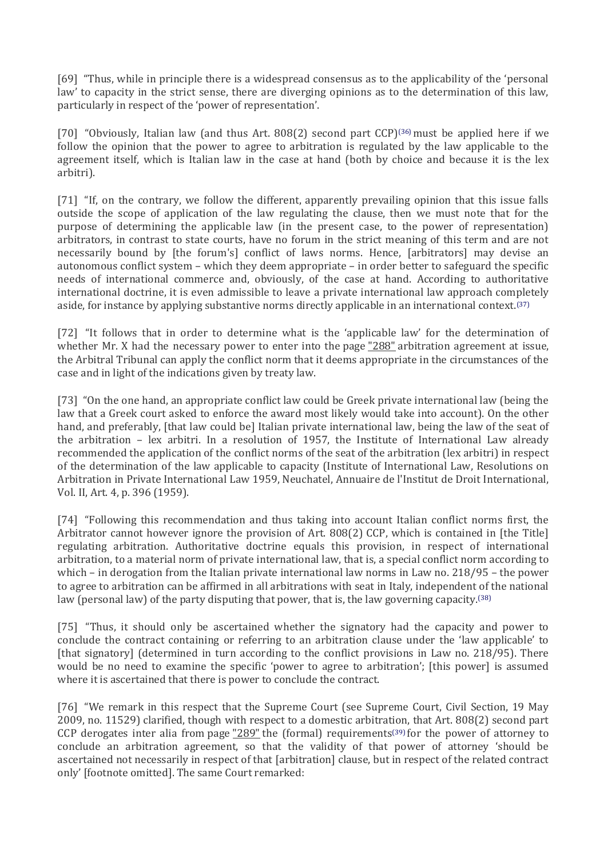[69] "Thus, while in principle there is a widespread consensus as to the applicability of the 'personal law' to capacity in the strict sense, there are diverging opinions as to the determination of this law, particularly in respect of the 'power of representation'.

[70] "Obviously, Italian law (and thus Art. 808(2) second part CCP)[\(36\)](http://www.kluwerarbitration.com/CommonUI/document.aspx?id=KLI-KA-1441015-n#note36) must be applied here if we follow the opinion that the power to agree to arbitration is regulated by the law applicable to the agreement itself, which is Italian law in the case at hand (both by choice and because it is the lex arbitri).

[71] "If, on the contrary, we follow the different, apparently prevailing opinion that this issue falls outside the scope of application of the law regulating the clause, then we must note that for the purpose of determining the applicable law (in the present case, to the power of representation) arbitrators, in contrast to state courts, have no forum in the strict meaning of this term and are not necessarily bound by [the forum's] conflict of laws norms. Hence, [arbitrators] may devise an autonomous conflict system – which they deem appropriate – in order better to safeguard the specific needs of international commerce and, obviously, of the case at hand. According to authoritative international doctrine, it is even admissible to leave a private international law approach completely aside, for instance by applying substantive norms directly applicable in an international context.[\(37\)](http://www.kluwerarbitration.com/CommonUI/document.aspx?id=KLI-KA-1441015-n#note37)

[72] "It follows that in order to determine what is the 'applicable law' for the determination of whether Mr. X had the necessary power to enter into the page "288" arbitration agreement at issue, the Arbitral Tribunal can apply the conflict norm that it deems appropriate in the circumstances of the case and in light of the indications given by treaty law.

[73] "On the one hand, an appropriate conflict law could be Greek private international law (being the law that a Greek court asked to enforce the award most likely would take into account). On the other hand, and preferably, [that law could be] Italian private international law, being the law of the seat of the arbitration – lex arbitri. In a resolution of 1957, the Institute of International Law already recommended the application of the conflict norms of the seat of the arbitration (lex arbitri) in respect of the determination of the law applicable to capacity (Institute of International Law, Resolutions on Arbitration in Private International Law 1959, Neuchatel, Annuaire de l'Institut de Droit International, Vol. II, Art. 4, p. 396 (1959).

[74] "Following this recommendation and thus taking into account Italian conflict norms first, the Arbitrator cannot however ignore the provision of Art. 808(2) CCP, which is contained in [the Title] regulating arbitration. Authoritative doctrine equals this provision, in respect of international arbitration, to a material norm of private international law, that is, a special conflict norm according to which – in derogation from the Italian private international law norms in Law no. 218/95 – the power to agree to arbitration can be affirmed in all arbitrations with seat in Italy, independent of the national law (personal law) of the party disputing that power, that is, the law governing capacity.<sup>[\(38\)](http://www.kluwerarbitration.com/CommonUI/document.aspx?id=KLI-KA-1441015-n#note38)</sup>

[75] "Thus, it should only be ascertained whether the signatory had the capacity and power to conclude the contract containing or referring to an arbitration clause under the 'law applicable' to [that signatory] (determined in turn according to the conflict provisions in Law no. 218/95). There would be no need to examine the specific 'power to agree to arbitration'; [this power] is assumed where it is ascertained that there is power to conclude the contract.

[76] "We remark in this respect that the Supreme Court (see Supreme Court, Civil Section, 19 May 2009, no. 11529) clarified, though with respect to a domestic arbitration, that Art. 808(2) second part CCP derogates inter alia from page  $\underline{''289}$  the (formal) requirements<sup>[\(39\)](http://www.kluwerarbitration.com/CommonUI/document.aspx?id=KLI-KA-1441015-n#note39)</sup> for the power of attorney to conclude an arbitration agreement, so that the validity of that power of attorney 'should be ascertained not necessarily in respect of that [arbitration] clause, but in respect of the related contract only' [footnote omitted]. The same Court remarked: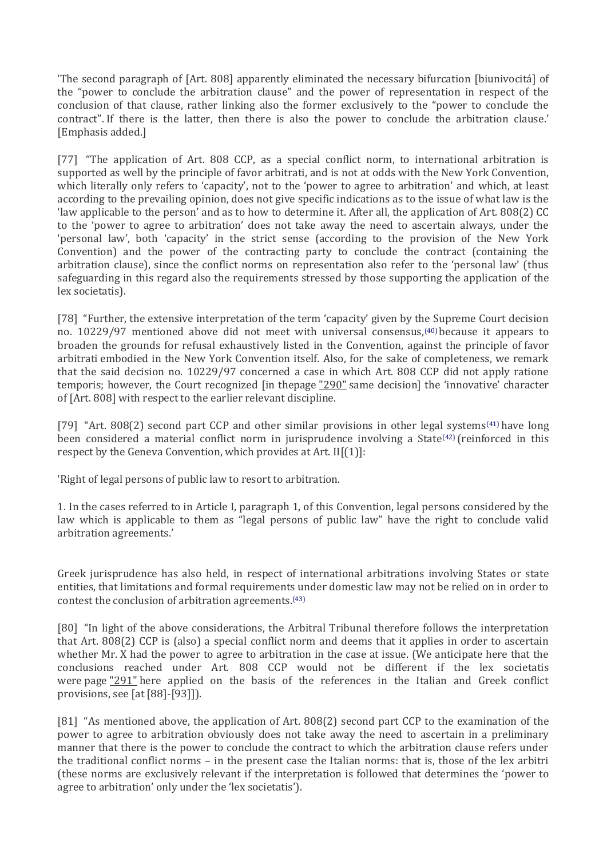'The second paragraph of [Art. 808] apparently eliminated the necessary bifurcation [biunivocitá] of the "power to conclude the arbitration clause" and the power of representation in respect of the conclusion of that clause, rather linking also the former exclusively to the "power to conclude the contract". If there is the latter, then there is also the power to conclude the arbitration clause.' [Emphasis added.]

[77] "The application of Art. 808 CCP, as a special conflict norm, to international arbitration is supported as well by the principle of favor arbitrati, and is not at odds with the New York Convention, which literally only refers to 'capacity', not to the 'power to agree to arbitration' and which, at least according to the prevailing opinion, does not give specific indications as to the issue of what law is the 'law applicable to the person' and as to how to determine it. After all, the application of Art. 808(2) CC to the 'power to agree to arbitration' does not take away the need to ascertain always, under the 'personal law', both 'capacity' in the strict sense (according to the provision of the New York Convention) and the power of the contracting party to conclude the contract (containing the arbitration clause), since the conflict norms on representation also refer to the 'personal law' (thus safeguarding in this regard also the requirements stressed by those supporting the application of the lex societatis).

[78] "Further, the extensive interpretation of the term 'capacity' given by the Supreme Court decision no. 10229/97 mentioned above did not meet with universal consensus,[\(40\)](http://www.kluwerarbitration.com/CommonUI/document.aspx?id=KLI-KA-1441015-n#note40) because it appears to broaden the grounds for refusal exhaustively listed in the Convention, against the principle of favor arbitrati embodied in the New York Convention itself. Also, for the sake of completeness, we remark that the said decision no. 10229/97 concerned a case in which Art. 808 CCP did not apply ratione temporis; however, the Court recognized [in thepage "290" same decision] the 'innovative' character of [Art. 808] with respect to the earlier relevant discipline.

[79] "Art. 808(2) second part CCP and other similar provisions in other legal systems[\(41\)](http://www.kluwerarbitration.com/CommonUI/document.aspx?id=KLI-KA-1441015-n#note41) have long been considered a material conflict norm in jurisprudence involving a State<sup>[\(42\)](http://www.kluwerarbitration.com/CommonUI/document.aspx?id=KLI-KA-1441015-n#note42)</sup> (reinforced in this respect by the Geneva Convention, which provides at Art.  $II[(1)]$ :

'Right of legal persons of public law to resort to arbitration.

1. In the cases referred to in Article I, paragraph 1, of this Convention, legal persons considered by the law which is applicable to them as "legal persons of public law" have the right to conclude valid arbitration agreements.'

Greek jurisprudence has also held, in respect of international arbitrations involving States or state entities, that limitations and formal requirements under domestic law may not be relied on in order to contest the conclusion of arbitration agreements.[\(43\)](http://www.kluwerarbitration.com/CommonUI/document.aspx?id=KLI-KA-1441015-n#note43)

[80] "In light of the above considerations, the Arbitral Tribunal therefore follows the interpretation that Art. 808(2) CCP is (also) a special conflict norm and deems that it applies in order to ascertain whether Mr. X had the power to agree to arbitration in the case at issue. (We anticipate here that the conclusions reached under Art. 808 CCP would not be different if the lex societatis were page "291" here applied on the basis of the references in the Italian and Greek conflict provisions, see [at [88]-[93]]).

[81] "As mentioned above, the application of Art. 808(2) second part CCP to the examination of the power to agree to arbitration obviously does not take away the need to ascertain in a preliminary manner that there is the power to conclude the contract to which the arbitration clause refers under the traditional conflict norms – in the present case the Italian norms: that is, those of the lex arbitri (these norms are exclusively relevant if the interpretation is followed that determines the 'power to agree to arbitration' only under the 'lex societatis').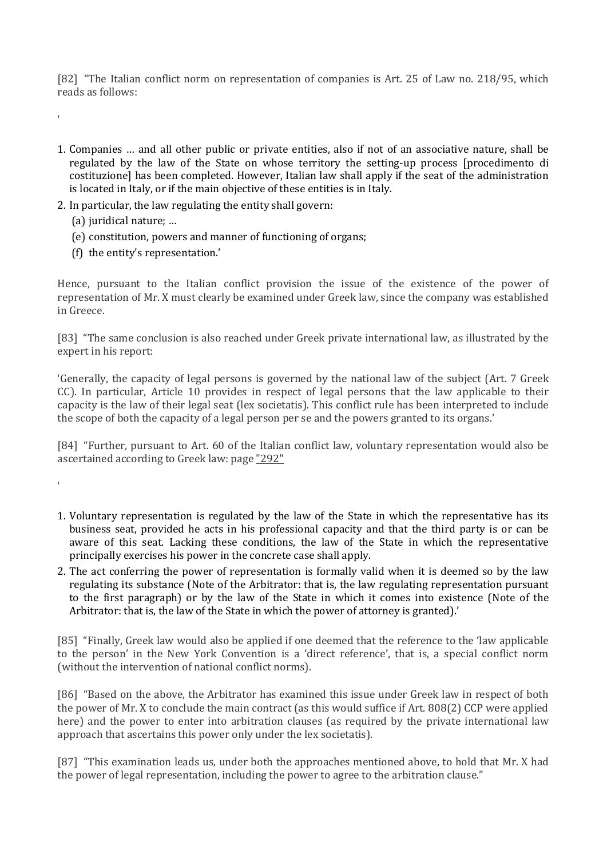[82] "The Italian conflict norm on representation of companies is Art. 25 of Law no. 218/95, which reads as follows:

- 1. Companies … and all other public or private entities, also if not of an associative nature, shall be regulated by the law of the State on whose territory the setting-up process [procedimento di costituzione] has been completed. However, Italian law shall apply if the seat of the administration is located in Italy, or if the main objective of these entities is in Italy.
- 2. In particular, the law regulating the entity shall govern:
	- (a) juridical nature; …

'

'

- (e) constitution, powers and manner of functioning of organs;
- (f) the entity's representation.'

Hence, pursuant to the Italian conflict provision the issue of the existence of the power of representation of Mr. X must clearly be examined under Greek law, since the company was established in Greece.

[83] "The same conclusion is also reached under Greek private international law, as illustrated by the expert in his report:

'Generally, the capacity of legal persons is governed by the national law of the subject (Art. 7 Greek CC). In particular, Article 10 provides in respect of legal persons that the law applicable to their capacity is the law of their legal seat (lex societatis). This conflict rule has been interpreted to include the scope of both the capacity of a legal person per se and the powers granted to its organs.'

[84] "Further, pursuant to Art. 60 of the Italian conflict law, voluntary representation would also be ascertained according to Greek law: page "292"

- 1. Voluntary representation is regulated by the law of the State in which the representative has its business seat, provided he acts in his professional capacity and that the third party is or can be aware of this seat. Lacking these conditions, the law of the State in which the representative principally exercises his power in the concrete case shall apply.
- 2. The act conferring the power of representation is formally valid when it is deemed so by the law regulating its substance (Note of the Arbitrator: that is, the law regulating representation pursuant to the first paragraph) or by the law of the State in which it comes into existence (Note of the Arbitrator: that is, the law of the State in which the power of attorney is granted).'

[85] "Finally, Greek law would also be applied if one deemed that the reference to the 'law applicable to the person' in the New York Convention is a 'direct reference', that is, a special conflict norm (without the intervention of national conflict norms).

[86] "Based on the above, the Arbitrator has examined this issue under Greek law in respect of both the power of Mr. X to conclude the main contract (as this would suffice if Art. 808(2) CCP were applied here) and the power to enter into arbitration clauses (as required by the private international law approach that ascertains this power only under the lex societatis).

[87] "This examination leads us, under both the approaches mentioned above, to hold that Mr. X had the power of legal representation, including the power to agree to the arbitration clause."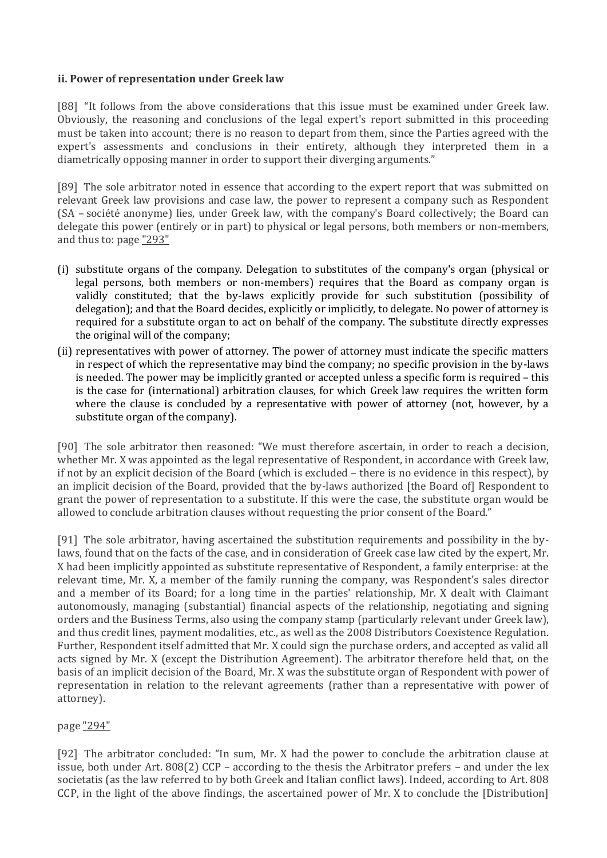#### **ii. Power of representation under Greek law**

[88] "It follows from the above considerations that this issue must be examined under Greek law. Obviously, the reasoning and conclusions of the legal expert's report submitted in this proceeding must be taken into account; there is no reason to depart from them, since the Parties agreed with the expert's assessments and conclusions in their entirety, although they interpreted them in a diametrically opposing manner in order to support their diverging arguments."

[89] The sole arbitrator noted in essence that according to the expert report that was submitted on relevant Greek law provisions and case law, the power to represent a company such as Respondent (SA – société anonyme) lies, under Greek law, with the company's Board collectively; the Board can delegate this power (entirely or in part) to physical or legal persons, both members or non-members, and thus to: page "293"

- (i) substitute organs of the company. Delegation to substitutes of the company's organ (physical or legal persons, both members or non-members) requires that the Board as company organ is validly constituted; that the by-laws explicitly provide for such substitution (possibility of delegation); and that the Board decides, explicitly or implicitly, to delegate. No power of attorney is required for a substitute organ to act on behalf of the company. The substitute directly expresses the original will of the company;
- (ii) representatives with power of attorney. The power of attorney must indicate the specific matters in respect of which the representative may bind the company; no specific provision in the by-laws is needed. The power may be implicitly granted or accepted unless a specific form is required – this is the case for (international) arbitration clauses, for which Greek law requires the written form where the clause is concluded by a representative with power of attorney (not, however, by a substitute organ of the company).

[90] The sole arbitrator then reasoned: "We must therefore ascertain, in order to reach a decision, whether Mr. X was appointed as the legal representative of Respondent, in accordance with Greek law, if not by an explicit decision of the Board (which is excluded – there is no evidence in this respect), by an implicit decision of the Board, provided that the by-laws authorized [the Board of] Respondent to grant the power of representation to a substitute. If this were the case, the substitute organ would be allowed to conclude arbitration clauses without requesting the prior consent of the Board."

[91] The sole arbitrator, having ascertained the substitution requirements and possibility in the bylaws, found that on the facts of the case, and in consideration of Greek case law cited by the expert, Mr. X had been implicitly appointed as substitute representative of Respondent, a family enterprise: at the relevant time, Mr. X, a member of the family running the company, was Respondent's sales director and a member of its Board; for a long time in the parties' relationship, Mr. X dealt with Claimant autonomously, managing (substantial) financial aspects of the relationship, negotiating and signing orders and the Business Terms, also using the company stamp (particularly relevant under Greek law), and thus credit lines, payment modalities, etc., as well as the 2008 Distributors Coexistence Regulation. Further, Respondent itself admitted that Mr. X could sign the purchase orders, and accepted as valid all acts signed by Mr. X (except the Distribution Agreement). The arbitrator therefore held that, on the basis of an implicit decision of the Board, Mr. X was the substitute organ of Respondent with power of representation in relation to the relevant agreements (rather than a representative with power of attorney).

# page "294"

[92] The arbitrator concluded: "In sum, Mr. X had the power to conclude the arbitration clause at issue, both under Art. 808(2) CCP – according to the thesis the Arbitrator prefers – and under the lex societatis (as the law referred to by both Greek and Italian conflict laws). Indeed, according to Art. 808 CCP, in the light of the above findings, the ascertained power of Mr. X to conclude the [Distribution]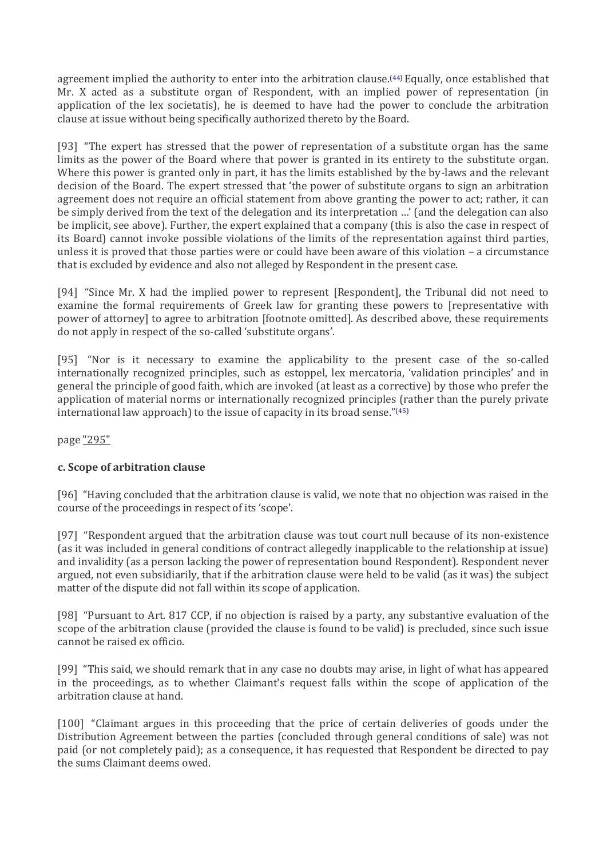agreement implied the authority to enter into the arbitration clause.<sup>[\(44\)](http://www.kluwerarbitration.com/CommonUI/document.aspx?id=KLI-KA-1441015-n#note44)</sup> Equally, once established that Mr. X acted as a substitute organ of Respondent, with an implied power of representation (in application of the lex societatis), he is deemed to have had the power to conclude the arbitration clause at issue without being specifically authorized thereto by the Board.

[93] "The expert has stressed that the power of representation of a substitute organ has the same limits as the power of the Board where that power is granted in its entirety to the substitute organ. Where this power is granted only in part, it has the limits established by the by-laws and the relevant decision of the Board. The expert stressed that 'the power of substitute organs to sign an arbitration agreement does not require an official statement from above granting the power to act; rather, it can be simply derived from the text of the delegation and its interpretation …' (and the delegation can also be implicit, see above). Further, the expert explained that a company (this is also the case in respect of its Board) cannot invoke possible violations of the limits of the representation against third parties, unless it is proved that those parties were or could have been aware of this violation – a circumstance that is excluded by evidence and also not alleged by Respondent in the present case.

[94] "Since Mr. X had the implied power to represent [Respondent], the Tribunal did not need to examine the formal requirements of Greek law for granting these powers to [representative with power of attorney] to agree to arbitration [footnote omitted]. As described above, these requirements do not apply in respect of the so-called 'substitute organs'.

[95] "Nor is it necessary to examine the applicability to the present case of the so-called internationally recognized principles, such as estoppel, lex mercatoria, 'validation principles' and in general the principle of good faith, which are invoked (at least as a corrective) by those who prefer the application of material norms or internationally recognized principles (rather than the purely private international law approach) to the issue of capacity in its broad sense."[\(45\)](http://www.kluwerarbitration.com/CommonUI/document.aspx?id=KLI-KA-1441015-n#note45)

page "295"

# **c. Scope of arbitration clause**

[96] "Having concluded that the arbitration clause is valid, we note that no objection was raised in the course of the proceedings in respect of its 'scope'.

[97] "Respondent argued that the arbitration clause was tout court null because of its non-existence (as it was included in general conditions of contract allegedly inapplicable to the relationship at issue) and invalidity (as a person lacking the power of representation bound Respondent). Respondent never argued, not even subsidiarily, that if the arbitration clause were held to be valid (as it was) the subject matter of the dispute did not fall within its scope of application.

[98] "Pursuant to Art. 817 CCP, if no objection is raised by a party, any substantive evaluation of the scope of the arbitration clause (provided the clause is found to be valid) is precluded, since such issue cannot be raised ex officio.

[99] "This said, we should remark that in any case no doubts may arise, in light of what has appeared in the proceedings, as to whether Claimant's request falls within the scope of application of the arbitration clause at hand.

[100] "Claimant argues in this proceeding that the price of certain deliveries of goods under the Distribution Agreement between the parties (concluded through general conditions of sale) was not paid (or not completely paid); as a consequence, it has requested that Respondent be directed to pay the sums Claimant deems owed.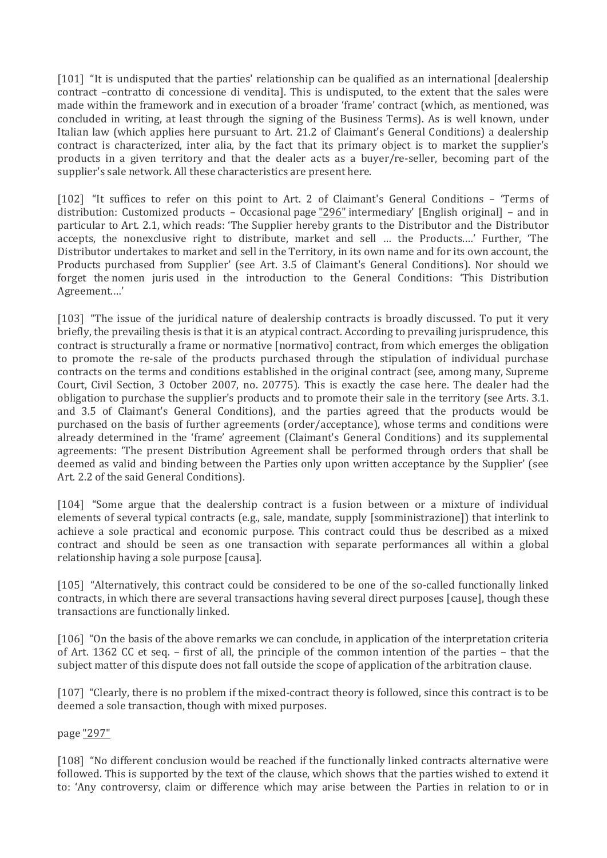[101] "It is undisputed that the parties' relationship can be qualified as an international [dealership] contract –contratto di concessione di vendita]. This is undisputed, to the extent that the sales were made within the framework and in execution of a broader 'frame' contract (which, as mentioned, was concluded in writing, at least through the signing of the Business Terms). As is well known, under Italian law (which applies here pursuant to Art. 21.2 of Claimant's General Conditions) a dealership contract is characterized, inter alia, by the fact that its primary object is to market the supplier's products in a given territory and that the dealer acts as a buyer/re-seller, becoming part of the supplier's sale network. All these characteristics are present here.

[102] "It suffices to refer on this point to Art. 2 of Claimant's General Conditions - 'Terms of distribution: Customized products - Occasional page "296" intermediary' [English original] - and in particular to Art. 2.1, which reads: 'The Supplier hereby grants to the Distributor and the Distributor accepts, the nonexclusive right to distribute, market and sell … the Products.…' Further, 'The Distributor undertakes to market and sell in the Territory, in its own name and for its own account, the Products purchased from Supplier' (see Art. 3.5 of Claimant's General Conditions). Nor should we forget the nomen juris used in the introduction to the General Conditions: 'This Distribution Agreement.…'

[103] "The issue of the juridical nature of dealership contracts is broadly discussed. To put it very briefly, the prevailing thesis is that it is an atypical contract. According to prevailing jurisprudence, this contract is structurally a frame or normative [normativo] contract, from which emerges the obligation to promote the re-sale of the products purchased through the stipulation of individual purchase contracts on the terms and conditions established in the original contract (see, among many, Supreme Court, Civil Section, 3 October 2007, no. 20775). This is exactly the case here. The dealer had the obligation to purchase the supplier's products and to promote their sale in the territory (see Arts. 3.1. and 3.5 of Claimant's General Conditions), and the parties agreed that the products would be purchased on the basis of further agreements (order/acceptance), whose terms and conditions were already determined in the 'frame' agreement (Claimant's General Conditions) and its supplemental agreements: 'The present Distribution Agreement shall be performed through orders that shall be deemed as valid and binding between the Parties only upon written acceptance by the Supplier' (see Art. 2.2 of the said General Conditions).

[104] "Some argue that the dealership contract is a fusion between or a mixture of individual elements of several typical contracts (e.g., sale, mandate, supply [somministrazione]) that interlink to achieve a sole practical and economic purpose. This contract could thus be described as a mixed contract and should be seen as one transaction with separate performances all within a global relationship having a sole purpose [causa].

[105] "Alternatively, this contract could be considered to be one of the so-called functionally linked contracts, in which there are several transactions having several direct purposes [cause], though these transactions are functionally linked.

[106] "On the basis of the above remarks we can conclude, in application of the interpretation criteria of Art. 1362 CC et seq. – first of all, the principle of the common intention of the parties – that the subject matter of this dispute does not fall outside the scope of application of the arbitration clause.

[107] "Clearly, there is no problem if the mixed-contract theory is followed, since this contract is to be deemed a sole transaction, though with mixed purposes.

# page "297"

[108] "No different conclusion would be reached if the functionally linked contracts alternative were followed. This is supported by the text of the clause, which shows that the parties wished to extend it to: 'Any controversy, claim or difference which may arise between the Parties in relation to or in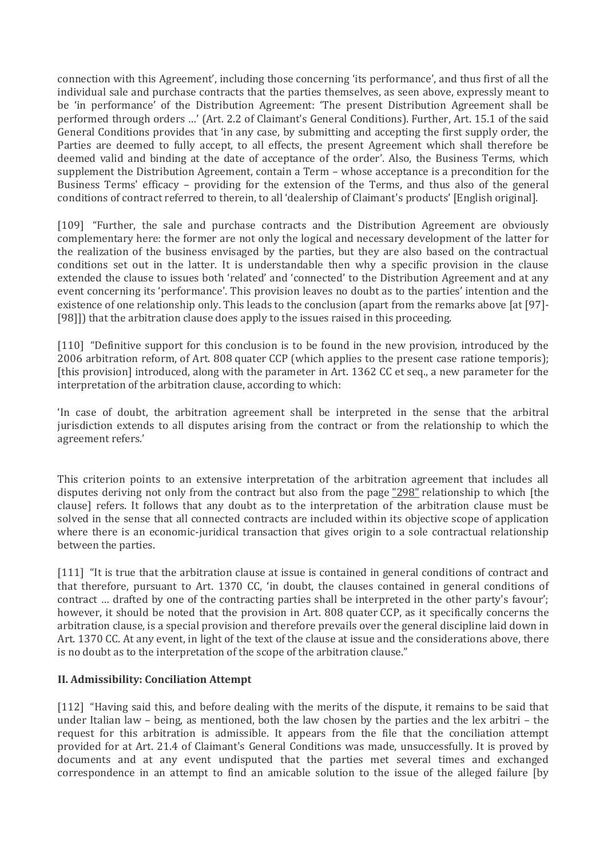connection with this Agreement', including those concerning 'its performance', and thus first of all the individual sale and purchase contracts that the parties themselves, as seen above, expressly meant to be 'in performance' of the Distribution Agreement: 'The present Distribution Agreement shall be performed through orders …' (Art. 2.2 of Claimant's General Conditions). Further, Art. 15.1 of the said General Conditions provides that 'in any case, by submitting and accepting the first supply order, the Parties are deemed to fully accept, to all effects, the present Agreement which shall therefore be deemed valid and binding at the date of acceptance of the order'. Also, the Business Terms, which supplement the Distribution Agreement, contain a Term – whose acceptance is a precondition for the Business Terms' efficacy – providing for the extension of the Terms, and thus also of the general conditions of contract referred to therein, to all 'dealership of Claimant's products' [English original].

[109] "Further, the sale and purchase contracts and the Distribution Agreement are obviously complementary here: the former are not only the logical and necessary development of the latter for the realization of the business envisaged by the parties, but they are also based on the contractual conditions set out in the latter. It is understandable then why a specific provision in the clause extended the clause to issues both 'related' and 'connected' to the Distribution Agreement and at any event concerning its 'performance'. This provision leaves no doubt as to the parties' intention and the existence of one relationship only. This leads to the conclusion (apart from the remarks above [at [97]- [98]]) that the arbitration clause does apply to the issues raised in this proceeding.

[110] "Definitive support for this conclusion is to be found in the new provision, introduced by the 2006 arbitration reform, of Art. 808 quater CCP (which applies to the present case ratione temporis); [this provision] introduced, along with the parameter in Art. 1362 CC et seq., a new parameter for the interpretation of the arbitration clause, according to which:

'In case of doubt, the arbitration agreement shall be interpreted in the sense that the arbitral jurisdiction extends to all disputes arising from the contract or from the relationship to which the agreement refers.'

This criterion points to an extensive interpretation of the arbitration agreement that includes all disputes deriving not only from the contract but also from the page "298" relationship to which [the clause] refers. It follows that any doubt as to the interpretation of the arbitration clause must be solved in the sense that all connected contracts are included within its objective scope of application where there is an economic-juridical transaction that gives origin to a sole contractual relationship between the parties.

[111] "It is true that the arbitration clause at issue is contained in general conditions of contract and that therefore, pursuant to Art. 1370 CC, 'in doubt, the clauses contained in general conditions of contract … drafted by one of the contracting parties shall be interpreted in the other party's favour'; however, it should be noted that the provision in Art. 808 quater CCP, as it specifically concerns the arbitration clause, is a special provision and therefore prevails over the general discipline laid down in Art. 1370 CC. At any event, in light of the text of the clause at issue and the considerations above, there is no doubt as to the interpretation of the scope of the arbitration clause."

# **II. Admissibility: Conciliation Attempt**

[112] "Having said this, and before dealing with the merits of the dispute, it remains to be said that under Italian law – being, as mentioned, both the law chosen by the parties and the lex arbitri – the request for this arbitration is admissible. It appears from the file that the conciliation attempt provided for at Art. 21.4 of Claimant's General Conditions was made, unsuccessfully. It is proved by documents and at any event undisputed that the parties met several times and exchanged correspondence in an attempt to find an amicable solution to the issue of the alleged failure [by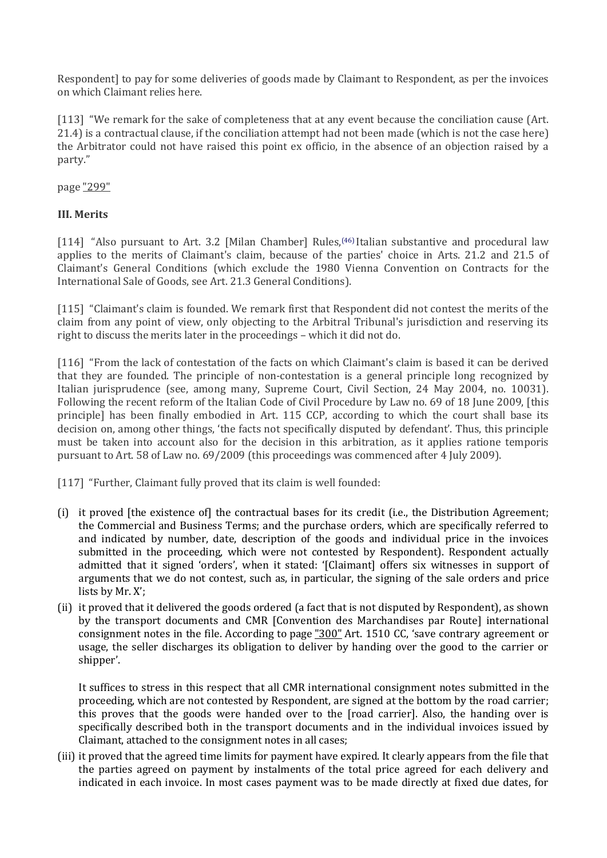Respondent] to pay for some deliveries of goods made by Claimant to Respondent, as per the invoices on which Claimant relies here.

[113] "We remark for the sake of completeness that at any event because the conciliation cause (Art. 21.4) is a contractual clause, if the conciliation attempt had not been made (which is not the case here) the Arbitrator could not have raised this point ex officio, in the absence of an objection raised by a party."

page "299"

# **III. Merits**

[114] "Also pursuant to Art. 3.2 [Milan Chamber] Rules,[\(46\)](http://www.kluwerarbitration.com/CommonUI/document.aspx?id=KLI-KA-1441015-n#note46) Italian substantive and procedural law applies to the merits of Claimant's claim, because of the parties' choice in Arts. 21.2 and 21.5 of Claimant's General Conditions (which exclude the 1980 Vienna Convention on Contracts for the International Sale of Goods, see Art. 21.3 General Conditions).

[115] "Claimant's claim is founded. We remark first that Respondent did not contest the merits of the claim from any point of view, only objecting to the Arbitral Tribunal's jurisdiction and reserving its right to discuss the merits later in the proceedings – which it did not do.

[116] "From the lack of contestation of the facts on which Claimant's claim is based it can be derived that they are founded. The principle of non-contestation is a general principle long recognized by Italian jurisprudence (see, among many, Supreme Court, Civil Section, 24 May 2004, no. 10031). Following the recent reform of the Italian Code of Civil Procedure by Law no. 69 of 18 June 2009, [this principle] has been finally embodied in Art. 115 CCP, according to which the court shall base its decision on, among other things, 'the facts not specifically disputed by defendant'. Thus, this principle must be taken into account also for the decision in this arbitration, as it applies ratione temporis pursuant to Art. 58 of Law no. 69/2009 (this proceedings was commenced after 4 July 2009).

[117] "Further, Claimant fully proved that its claim is well founded:

- (i) it proved [the existence of] the contractual bases for its credit (i.e., the Distribution Agreement; the Commercial and Business Terms; and the purchase orders, which are specifically referred to and indicated by number, date, description of the goods and individual price in the invoices submitted in the proceeding, which were not contested by Respondent). Respondent actually admitted that it signed 'orders', when it stated: '[Claimant] offers six witnesses in support of arguments that we do not contest, such as, in particular, the signing of the sale orders and price lists by Mr. X';
- (ii) it proved that it delivered the goods ordered (a fact that is not disputed by Respondent), as shown by the transport documents and CMR [Convention des Marchandises par Route] international consignment notes in the file. According to page "300" Art. 1510 CC, 'save contrary agreement or usage, the seller discharges its obligation to deliver by handing over the good to the carrier or shipper'.

It suffices to stress in this respect that all CMR international consignment notes submitted in the proceeding, which are not contested by Respondent, are signed at the bottom by the road carrier; this proves that the goods were handed over to the [road carrier]. Also, the handing over is specifically described both in the transport documents and in the individual invoices issued by Claimant, attached to the consignment notes in all cases;

(iii) it proved that the agreed time limits for payment have expired. It clearly appears from the file that the parties agreed on payment by instalments of the total price agreed for each delivery and indicated in each invoice. In most cases payment was to be made directly at fixed due dates, for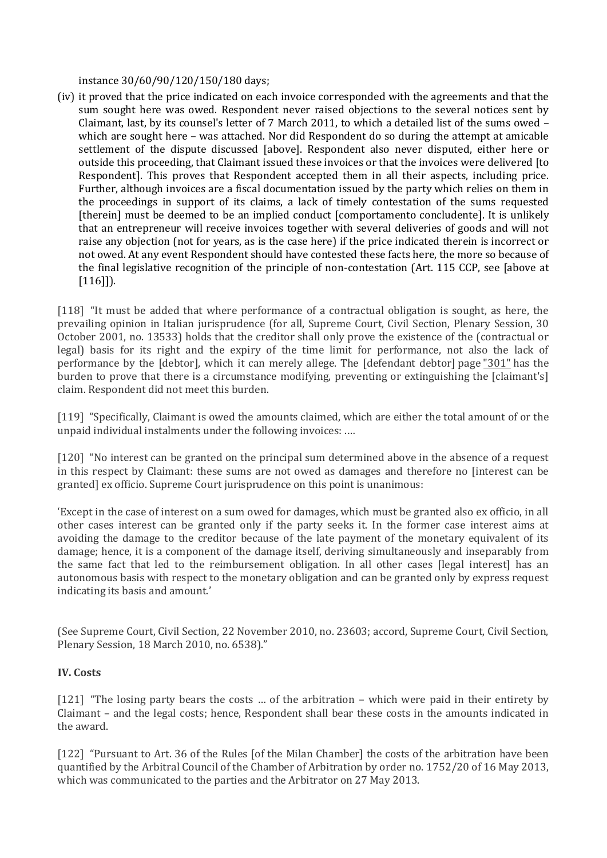instance 30/60/90/120/150/180 days;

(iv) it proved that the price indicated on each invoice corresponded with the agreements and that the sum sought here was owed. Respondent never raised objections to the several notices sent by Claimant, last, by its counsel's letter of 7 March 2011, to which a detailed list of the sums owed – which are sought here – was attached. Nor did Respondent do so during the attempt at amicable settlement of the dispute discussed [above]. Respondent also never disputed, either here or outside this proceeding, that Claimant issued these invoices or that the invoices were delivered [to Respondent]. This proves that Respondent accepted them in all their aspects, including price. Further, although invoices are a fiscal documentation issued by the party which relies on them in the proceedings in support of its claims, a lack of timely contestation of the sums requested [therein] must be deemed to be an implied conduct [comportamento concludente]. It is unlikely that an entrepreneur will receive invoices together with several deliveries of goods and will not raise any objection (not for years, as is the case here) if the price indicated therein is incorrect or not owed. At any event Respondent should have contested these facts here, the more so because of the final legislative recognition of the principle of non-contestation (Art. 115 CCP, see [above at  $[116]$ ]).

[118] "It must be added that where performance of a contractual obligation is sought, as here, the prevailing opinion in Italian jurisprudence (for all, Supreme Court, Civil Section, Plenary Session, 30 October 2001, no. 13533) holds that the creditor shall only prove the existence of the (contractual or legal) basis for its right and the expiry of the time limit for performance, not also the lack of performance by the [debtor], which it can merely allege. The [defendant debtor] page "301" has the burden to prove that there is a circumstance modifying, preventing or extinguishing the [claimant's] claim. Respondent did not meet this burden.

[119] "Specifically, Claimant is owed the amounts claimed, which are either the total amount of or the unpaid individual instalments under the following invoices: .…

[120] "No interest can be granted on the principal sum determined above in the absence of a request in this respect by Claimant: these sums are not owed as damages and therefore no [interest can be granted] ex officio. Supreme Court jurisprudence on this point is unanimous:

'Except in the case of interest on a sum owed for damages, which must be granted also ex officio, in all other cases interest can be granted only if the party seeks it. In the former case interest aims at avoiding the damage to the creditor because of the late payment of the monetary equivalent of its damage; hence, it is a component of the damage itself, deriving simultaneously and inseparably from the same fact that led to the reimbursement obligation. In all other cases [legal interest] has an autonomous basis with respect to the monetary obligation and can be granted only by express request indicating its basis and amount.'

(See Supreme Court, Civil Section, 22 November 2010, no. 23603; accord, Supreme Court, Civil Section, Plenary Session, 18 March 2010, no. 6538)."

# **IV. Costs**

[121] "The losing party bears the costs ... of the arbitration – which were paid in their entirety by Claimant – and the legal costs; hence, Respondent shall bear these costs in the amounts indicated in the award.

[122] "Pursuant to Art. 36 of the Rules [of the Milan Chamber] the costs of the arbitration have been quantified by the Arbitral Council of the Chamber of Arbitration by order no. 1752/20 of 16 May 2013, which was communicated to the parties and the Arbitrator on 27 May 2013.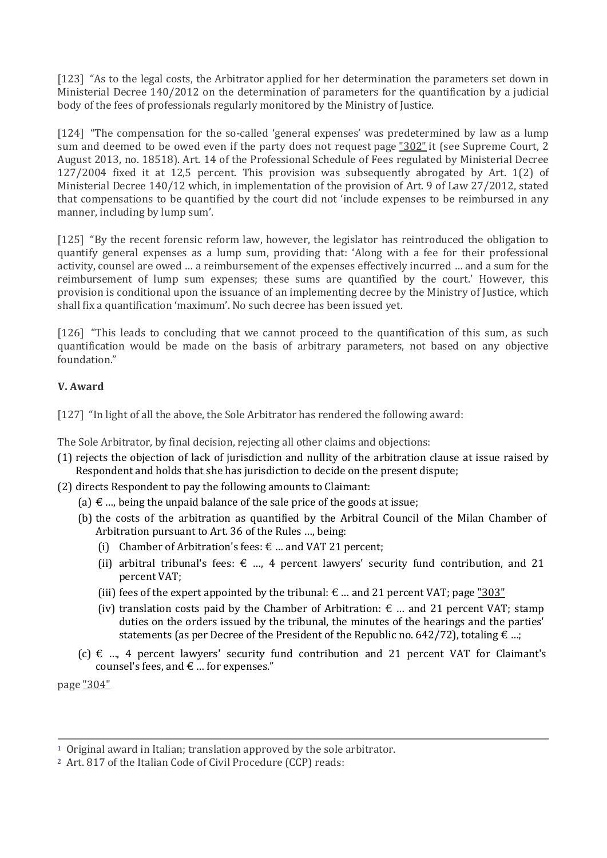[123] "As to the legal costs, the Arbitrator applied for her determination the parameters set down in Ministerial Decree 140/2012 on the determination of parameters for the quantification by a judicial body of the fees of professionals regularly monitored by the Ministry of Justice.

[124] "The compensation for the so-called 'general expenses' was predetermined by law as a lump sum and deemed to be owed even if the party does not request page "302" it (see Supreme Court, 2 August 2013, no. 18518). Art. 14 of the Professional Schedule of Fees regulated by Ministerial Decree 127/2004 fixed it at 12,5 percent. This provision was subsequently abrogated by Art. 1(2) of Ministerial Decree 140/12 which, in implementation of the provision of Art. 9 of Law 27/2012, stated that compensations to be quantified by the court did not 'include expenses to be reimbursed in any manner, including by lump sum'.

[125] "By the recent forensic reform law, however, the legislator has reintroduced the obligation to quantify general expenses as a lump sum, providing that: 'Along with a fee for their professional activity, counsel are owed … a reimbursement of the expenses effectively incurred … and a sum for the reimbursement of lump sum expenses; these sums are quantified by the court.' However, this provision is conditional upon the issuance of an implementing decree by the Ministry of Justice, which shall fix a quantification 'maximum'. No such decree has been issued yet.

[126] "This leads to concluding that we cannot proceed to the quantification of this sum, as such quantification would be made on the basis of arbitrary parameters, not based on any objective foundation."

# **V. Award**

[127] "In light of all the above, the Sole Arbitrator has rendered the following award:

The Sole Arbitrator, by final decision, rejecting all other claims and objections:

- (1) rejects the objection of lack of jurisdiction and nullity of the arbitration clause at issue raised by Respondent and holds that she has jurisdiction to decide on the present dispute;
- (2) directs Respondent to pay the following amounts to Claimant:
	- (a)  $\epsilon$  ..., being the unpaid balance of the sale price of the goods at issue;
	- (b) the costs of the arbitration as quantified by the Arbitral Council of the Milan Chamber of Arbitration pursuant to Art. 36 of the Rules …, being:
		- (i) Chamber of Arbitration's fees:  $\epsilon$  ... and VAT 21 percent;
		- (ii) arbitral tribunal's fees:  $\epsilon$  ..., 4 percent lawyers' security fund contribution, and 21 percent VAT;
		- (iii) fees of the expert appointed by the tribunal:  $\epsilon$  ... and 21 percent VAT; page "303"
		- (iv) translation costs paid by the Chamber of Arbitration:  $\epsilon$  ... and 21 percent VAT; stamp duties on the orders issued by the tribunal, the minutes of the hearings and the parties' statements (as per Decree of the President of the Republic no.  $642/72$ ), totaling  $\epsilon$  ...;
	- $(c) \notin ...$ , 4 percent lawyers' security fund contribution and 21 percent VAT for Claimant's counsel's fees, and  $\epsilon$  ... for expenses."

page "304"

[<sup>1</sup>](http://www.kluwerarbitration.com/CommonUI/document.aspx?id=KLI-KA-1441015-n#1) Original award in Italian; translation approved by the sole arbitrator.

[<sup>2</sup>](http://www.kluwerarbitration.com/CommonUI/document.aspx?id=KLI-KA-1441015-n#2) Art. 817 of the Italian Code of Civil Procedure (CCP) reads: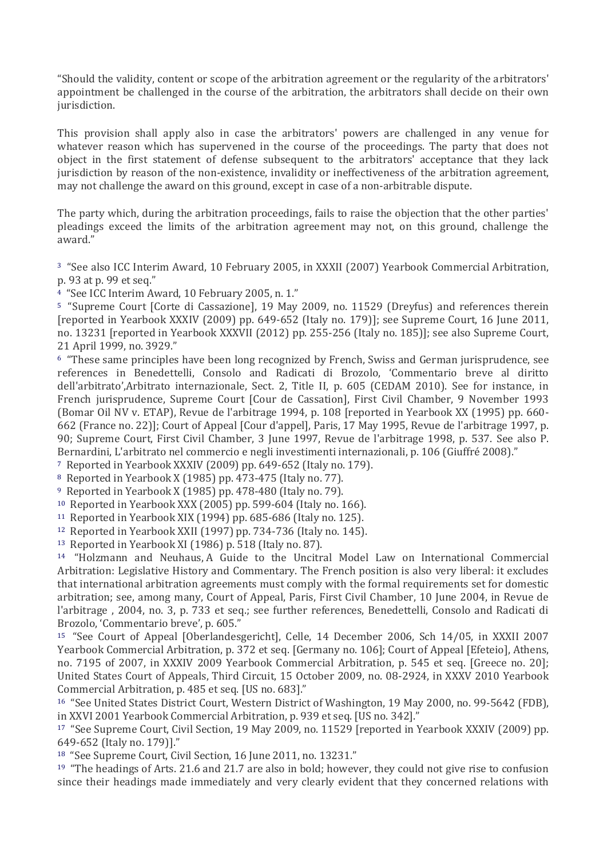"Should the validity, content or scope of the arbitration agreement or the regularity of the arbitrators' appointment be challenged in the course of the arbitration, the arbitrators shall decide on their own jurisdiction.

This provision shall apply also in case the arbitrators' powers are challenged in any venue for whatever reason which has supervened in the course of the proceedings. The party that does not object in the first statement of defense subsequent to the arbitrators' acceptance that they lack jurisdiction by reason of the non-existence, invalidity or ineffectiveness of the arbitration agreement, may not challenge the award on this ground, except in case of a non-arbitrable dispute.

The party which, during the arbitration proceedings, fails to raise the objection that the other parties' pleadings exceed the limits of the arbitration agreement may not, on this ground, challenge the award."

[3](http://www.kluwerarbitration.com/CommonUI/document.aspx?id=KLI-KA-1441015-n#3) "See also ICC Interim Award, 10 February 2005, in XXXII (2007) Yearbook Commercial Arbitration, p. 93 at p. 99 et seq."

[4](http://www.kluwerarbitration.com/CommonUI/document.aspx?id=KLI-KA-1441015-n#4) "See ICC Interim Award, 10 February 2005, n. 1."

[5](http://www.kluwerarbitration.com/CommonUI/document.aspx?id=KLI-KA-1441015-n#5) "Supreme Court [Corte di Cassazione], 19 May 2009, no. 11529 (Dreyfus) and references therein [reported in Yearbook XXXIV (2009) pp. 649-652 (Italy no. 179)]; see Supreme Court, 16 June 2011, no. 13231 [reported in Yearbook XXXVII (2012) pp. 255-256 (Italy no. 185)]; see also Supreme Court, 21 April 1999, no. 3929."

[6](http://www.kluwerarbitration.com/CommonUI/document.aspx?id=KLI-KA-1441015-n#6) "These same principles have been long recognized by French, Swiss and German jurisprudence, see references in Benedettelli, Consolo and Radicati di Brozolo, 'Commentario breve al diritto dell'arbitrato',Arbitrato internazionale, Sect. 2, Title II, p. 605 (CEDAM 2010). See for instance, in French jurisprudence, Supreme Court [Cour de Cassation], First Civil Chamber, 9 November 1993 (Bomar Oil NV v. ETAP), Revue de l'arbitrage 1994, p. 108 [reported in Yearbook XX (1995) pp. 660- 662 (France no. 22)]; Court of Appeal [Cour d'appel], Paris, 17 May 1995, Revue de l'arbitrage 1997, p. 90; Supreme Court, First Civil Chamber, 3 June 1997, Revue de l'arbitrage 1998, p. 537. See also P. Bernardini, L'arbitrato nel commercio e negli investimenti internazionali, p. 106 (Giuffré 2008)."

[7](http://www.kluwerarbitration.com/CommonUI/document.aspx?id=KLI-KA-1441015-n#7) Reported in Yearbook XXXIV (2009) pp. 649-652 (Italy no. 179).

[8](http://www.kluwerarbitration.com/CommonUI/document.aspx?id=KLI-KA-1441015-n#8) Reported in Yearbook X (1985) pp. 473-475 (Italy no. 77).

[9](http://www.kluwerarbitration.com/CommonUI/document.aspx?id=KLI-KA-1441015-n#9) Reported in Yearbook X (1985) pp. 478-480 (Italy no. 79).

[10](http://www.kluwerarbitration.com/CommonUI/document.aspx?id=KLI-KA-1441015-n#10) Reported in Yearbook XXX (2005) pp. 599-604 (Italy no. 166).

[11](http://www.kluwerarbitration.com/CommonUI/document.aspx?id=KLI-KA-1441015-n#11) Reported in Yearbook XIX (1994) pp. 685-686 (Italy no. 125).

[12](http://www.kluwerarbitration.com/CommonUI/document.aspx?id=KLI-KA-1441015-n#12) Reported in Yearbook XXII (1997) pp. 734-736 (Italy no. 145).

[13](http://www.kluwerarbitration.com/CommonUI/document.aspx?id=KLI-KA-1441015-n#13) Reported in Yearbook XI (1986) p. 518 (Italy no. 87).

[14](http://www.kluwerarbitration.com/CommonUI/document.aspx?id=KLI-KA-1441015-n#14) "Holzmann and Neuhaus, A Guide to the Uncitral Model Law on International Commercial Arbitration: Legislative History and Commentary. The French position is also very liberal: it excludes that international arbitration agreements must comply with the formal requirements set for domestic arbitration; see, among many, Court of Appeal, Paris, First Civil Chamber, 10 June 2004, in Revue de l'arbitrage , 2004, no. 3, p. 733 et seq.; see further references, Benedettelli, Consolo and Radicati di Brozolo, 'Commentario breve', p. 605."

[15](http://www.kluwerarbitration.com/CommonUI/document.aspx?id=KLI-KA-1441015-n#15) "See Court of Appeal [Oberlandesgericht], Celle, 14 December 2006, Sch 14/05, in XXXII 2007 Yearbook Commercial Arbitration, p. 372 et seq. [Germany no. 106]; Court of Appeal [Efeteio], Athens, no. 7195 of 2007, in XXXIV 2009 Yearbook Commercial Arbitration, p. 545 et seq. [Greece no. 20]; United States Court of Appeals, Third Circuit, 15 October 2009, no. 08-2924, in XXXV 2010 Yearbook Commercial Arbitration, p. 485 et seq. [US no. 683]."

[16](http://www.kluwerarbitration.com/CommonUI/document.aspx?id=KLI-KA-1441015-n#16) "See United States District Court, Western District of Washington, 19 May 2000, no. 99-5642 (FDB), in XXVI 2001 Yearbook Commercial Arbitration, p. 939 et seq. [US no. 342]."

[17](http://www.kluwerarbitration.com/CommonUI/document.aspx?id=KLI-KA-1441015-n#17) "See Supreme Court, Civil Section, 19 May 2009, no. 11529 [reported in Yearbook XXXIV (2009) pp. 649-652 (Italy no. 179)]."

[18](http://www.kluwerarbitration.com/CommonUI/document.aspx?id=KLI-KA-1441015-n#18) "See Supreme Court, Civil Section, 16 June 2011, no. 13231."

[19](http://www.kluwerarbitration.com/CommonUI/document.aspx?id=KLI-KA-1441015-n#19) "The headings of Arts. 21.6 and 21.7 are also in bold; however, they could not give rise to confusion since their headings made immediately and very clearly evident that they concerned relations with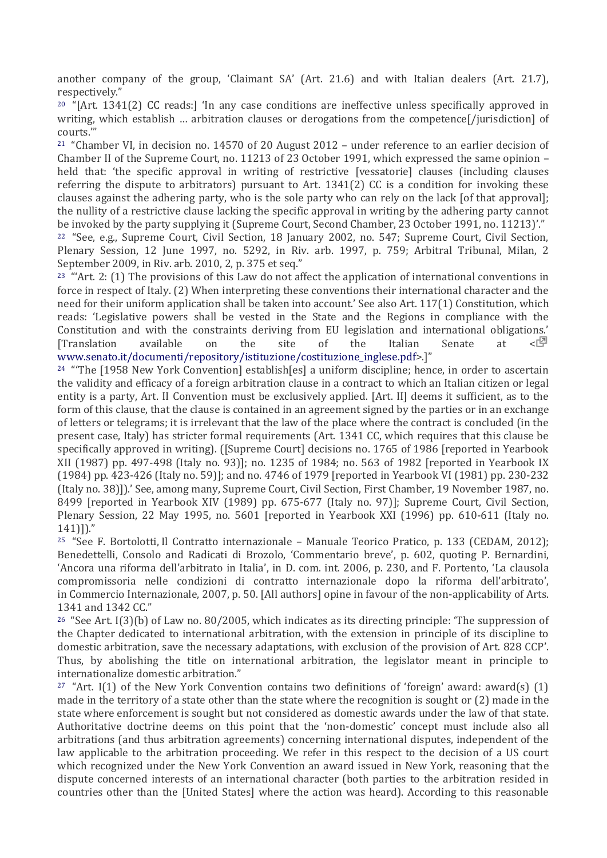another company of the group, 'Claimant SA' (Art. 21.6) and with Italian dealers (Art. 21.7), respectively."

[20](http://www.kluwerarbitration.com/CommonUI/document.aspx?id=KLI-KA-1441015-n#20) "[Art. 1341(2) CC reads:] 'In any case conditions are ineffective unless specifically approved in writing, which establish ... arbitration clauses or derogations from the competence [/jurisdiction] of courts.'"

[21](http://www.kluwerarbitration.com/CommonUI/document.aspx?id=KLI-KA-1441015-n#21) "Chamber VI, in decision no. 14570 of 20 August 2012 – under reference to an earlier decision of Chamber II of the Supreme Court, no. 11213 of 23 October 1991, which expressed the same opinion – held that: 'the specific approval in writing of restrictive [vessatorie] clauses (including clauses referring the dispute to arbitrators) pursuant to Art. 1341(2) CC is a condition for invoking these clauses against the adhering party, who is the sole party who can rely on the lack [of that approval]; the nullity of a restrictive clause lacking the specific approval in writing by the adhering party cannot be invoked by the party supplying it (Supreme Court, Second Chamber, 23 October 1991, no. 11213)'."

[22](http://www.kluwerarbitration.com/CommonUI/document.aspx?id=KLI-KA-1441015-n#22) "See, e.g., Supreme Court, Civil Section, 18 January 2002, no. 547; Supreme Court, Civil Section, Plenary Session, 12 June 1997, no. 5292, in Riv. arb. 1997, p. 759; Arbitral Tribunal, Milan, 2 September 2009, in Riv. arb. 2010, 2, p. 375 et seq."

<sup>23</sup> "'Art. 2: (1) The provisions of this Law do not affect the application of international conventions in force in respect of Italy. (2) When interpreting these conventions their international character and the need for their uniform application shall be taken into account.' See also Art. 117(1) Constitution, which reads: 'Legislative powers shall be vested in the State and the Regions in compliance with the Constitution and with the constraints deriving from EU legislation and international obligations.' **Translation** available on the site of the Italian Senate at  $\leq \sqrt{2}$ [www.senato.it/documenti/repository/istituzione/costituzione\\_inglese.pdf](http://www.senato.it/documenti/repository/istituzione/costituzione_inglese.pdf)>.]"

<sup>24</sup> "The [1958 New York Convention] establish[es] a uniform discipline; hence, in order to ascertain the validity and efficacy of a foreign arbitration clause in a contract to which an Italian citizen or legal entity is a party, Art. II Convention must be exclusively applied. [Art. II] deems it sufficient, as to the form of this clause, that the clause is contained in an agreement signed by the parties or in an exchange of letters or telegrams; it is irrelevant that the law of the place where the contract is concluded (in the present case, Italy) has stricter formal requirements (Art. 1341 CC, which requires that this clause be specifically approved in writing). ([Supreme Court] decisions no. 1765 of 1986 [reported in Yearbook XII (1987) pp. 497-498 (Italy no. 93)]; no. 1235 of 1984; no. 563 of 1982 [reported in Yearbook IX (1984) pp. 423-426 (Italy no. 59)]; and no. 4746 of 1979 [reported in Yearbook VI (1981) pp. 230-232 (Italy no. 38)]).' See, among many, Supreme Court, Civil Section, First Chamber, 19 November 1987, no. 8499 [reported in Yearbook XIV (1989) pp. 675-677 (Italy no. 97)]; Supreme Court, Civil Section, Plenary Session, 22 May 1995, no. 5601 [reported in Yearbook XXI (1996) pp. 610-611 (Italy no. 141)])."

[25](http://www.kluwerarbitration.com/CommonUI/document.aspx?id=KLI-KA-1441015-n#25) "See F. Bortolotti, Il Contratto internazionale – Manuale Teorico Pratico, p. 133 (CEDAM, 2012); Benedettelli, Consolo and Radicati di Brozolo, 'Commentario breve', p. 602, quoting P. Bernardini, 'Ancora una riforma dell'arbitrato in Italia', in D. com. int. 2006, p. 230, and F. Portento, 'La clausola compromissoria nelle condizioni di contratto internazionale dopo la riforma dell'arbitrato', in Commercio Internazionale, 2007, p. 50. [All authors] opine in favour of the non-applicability of Arts. 1341 and 1342 CC."

<sup>26</sup> "See Art. I(3)(b) of Law no. 80/2005, which indicates as its directing principle: 'The suppression of the Chapter dedicated to international arbitration, with the extension in principle of its discipline to domestic arbitration, save the necessary adaptations, with exclusion of the provision of Art. 828 CCP'. Thus, by abolishing the title on international arbitration, the legislator meant in principle to internationalize domestic arbitration."

<sup>27</sup> "Art. I(1) of the New York Convention contains two definitions of 'foreign' award: award(s) (1) made in the territory of a state other than the state where the recognition is sought or (2) made in the state where enforcement is sought but not considered as domestic awards under the law of that state. Authoritative doctrine deems on this point that the 'non-domestic' concept must include also all arbitrations (and thus arbitration agreements) concerning international disputes, independent of the law applicable to the arbitration proceeding. We refer in this respect to the decision of a US court which recognized under the New York Convention an award issued in New York, reasoning that the dispute concerned interests of an international character (both parties to the arbitration resided in countries other than the [United States] where the action was heard). According to this reasonable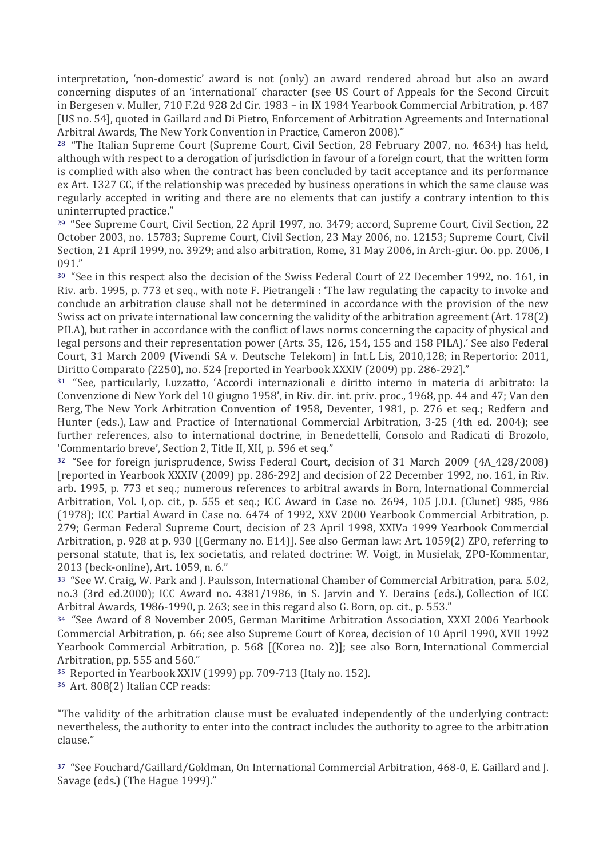interpretation, 'non-domestic' award is not (only) an award rendered abroad but also an award concerning disputes of an 'international' character (see US Court of Appeals for the Second Circuit in Bergesen v. Muller, 710 F.2d 928 2d Cir. 1983 – in IX 1984 Yearbook Commercial Arbitration, p. 487 [US no. 54], quoted in Gaillard and Di Pietro, Enforcement of Arbitration Agreements and International Arbitral Awards, The New York Convention in Practice, Cameron 2008)."

[28](http://www.kluwerarbitration.com/CommonUI/document.aspx?id=KLI-KA-1441015-n#28) "The Italian Supreme Court (Supreme Court, Civil Section, 28 February 2007, no. 4634) has held, although with respect to a derogation of jurisdiction in favour of a foreign court, that the written form is complied with also when the contract has been concluded by tacit acceptance and its performance ex Art. 1327 CC, if the relationship was preceded by business operations in which the same clause was regularly accepted in writing and there are no elements that can justify a contrary intention to this uninterrupted practice."

[29](http://www.kluwerarbitration.com/CommonUI/document.aspx?id=KLI-KA-1441015-n#29) "See Supreme Court, Civil Section, 22 April 1997, no. 3479; accord, Supreme Court, Civil Section, 22 October 2003, no. 15783; Supreme Court, Civil Section, 23 May 2006, no. 12153; Supreme Court, Civil Section, 21 April 1999, no. 3929; and also arbitration, Rome, 31 May 2006, in Arch-giur. Oo. pp. 2006, I 091."

[30](http://www.kluwerarbitration.com/CommonUI/document.aspx?id=KLI-KA-1441015-n#30) "See in this respect also the decision of the Swiss Federal Court of 22 December 1992, no. 161, in Riv. arb. 1995, p. 773 et seq., with note F. Pietrangeli : 'The law regulating the capacity to invoke and conclude an arbitration clause shall not be determined in accordance with the provision of the new Swiss act on private international law concerning the validity of the arbitration agreement (Art. 178(2) PILA), but rather in accordance with the conflict of laws norms concerning the capacity of physical and legal persons and their representation power (Arts. 35, 126, 154, 155 and 158 PILA).' See also Federal Court, 31 March 2009 (Vivendi SA v. Deutsche Telekom) in Int.L Lis, 2010,128; in Repertorio: 2011, Diritto Comparato (2250), no. 524 [reported in Yearbook XXXIV (2009) pp. 286-292]."

[31](http://www.kluwerarbitration.com/CommonUI/document.aspx?id=KLI-KA-1441015-n#31) "See, particularly, Luzzatto, 'Accordi internazionali e diritto interno in materia di arbitrato: la Convenzione di New York del 10 giugno 1958', in Riv. dir. int. priv. proc., 1968, pp. 44 and 47; Van den Berg, The New York Arbitration Convention of 1958, Deventer, 1981, p. 276 et seq.; Redfern and Hunter (eds.), Law and Practice of International Commercial Arbitration, 3-25 (4th ed. 2004); see further references, also to international doctrine, in Benedettelli, Consolo and Radicati di Brozolo, 'Commentario breve', Section 2, Title II, XII, p. 596 et seq."

[32](http://www.kluwerarbitration.com/CommonUI/document.aspx?id=KLI-KA-1441015-n#32) "See for foreign jurisprudence, Swiss Federal Court, decision of 31 March 2009 (4A\_428/2008) [reported in Yearbook XXXIV (2009) pp. 286-292] and decision of 22 December 1992, no. 161, in Riv. arb. 1995, p. 773 et seq.; numerous references to arbitral awards in Born, International Commercial Arbitration, Vol. I, op. cit., p. 555 et seq.; ICC Award in Case no. 2694, 105 J.D.I. (Clunet) 985, 986 (1978); ICC Partial Award in Case no. 6474 of 1992, XXV 2000 Yearbook Commercial Arbitration, p. 279; German Federal Supreme Court, decision of 23 April 1998, XXIVa 1999 Yearbook Commercial Arbitration, p. 928 at p. 930 [(Germany no. E14)]. See also German law: Art. 1059(2) ZPO, referring to personal statute, that is, lex societatis, and related doctrine: W. Voigt, in Musielak, ZPO-Kommentar, 2013 (beck-online), Art. 1059, n. 6."

[33](http://www.kluwerarbitration.com/CommonUI/document.aspx?id=KLI-KA-1441015-n#33) "See W. Craig, W. Park and J. Paulsson, International Chamber of Commercial Arbitration, para. 5.02, no.3 (3rd ed.2000); ICC Award no. 4381/1986, in S. Jarvin and Y. Derains (eds.), Collection of ICC Arbitral Awards, 1986-1990, p. 263; see in this regard also G. Born, op. cit., p. 553."

[34](http://www.kluwerarbitration.com/CommonUI/document.aspx?id=KLI-KA-1441015-n#34) "See Award of 8 November 2005, German Maritime Arbitration Association, XXXI 2006 Yearbook Commercial Arbitration, p. 66; see also Supreme Court of Korea, decision of 10 April 1990, XVII 1992 Yearbook Commercial Arbitration, p. 568 [(Korea no. 2)]; see also Born, International Commercial Arbitration, pp. 555 and 560."

[35](http://www.kluwerarbitration.com/CommonUI/document.aspx?id=KLI-KA-1441015-n#35) Reported in Yearbook XXIV (1999) pp. 709-713 (Italy no. 152).

[36](http://www.kluwerarbitration.com/CommonUI/document.aspx?id=KLI-KA-1441015-n#36) Art. 808(2) Italian CCP reads:

"The validity of the arbitration clause must be evaluated independently of the underlying contract: nevertheless, the authority to enter into the contract includes the authority to agree to the arbitration clause."

[37](http://www.kluwerarbitration.com/CommonUI/document.aspx?id=KLI-KA-1441015-n#37) "See Fouchard/Gaillard/Goldman, On International Commercial Arbitration, 468-0, E. Gaillard and J. Savage (eds.) (The Hague 1999)."